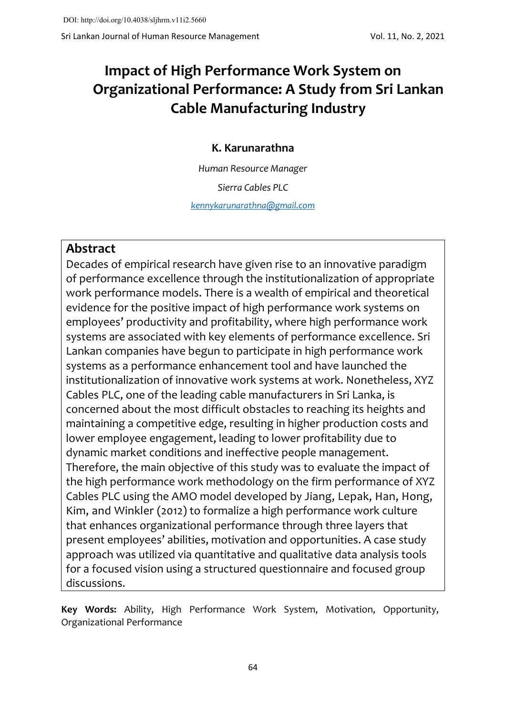# **Impact of High Performance Work System on Organizational Performance: A Study from Sri Lankan Cable Manufacturing Industry**

# **K. Karunarathna**

*Human Resource Manager*

*Sierra Cables PLC*

*[kennykarunarathna@gmail.com](mailto:kennykarunarathna@gmail.com)*

# **Abstract**

Decades of empirical research have given rise to an innovative paradigm of performance excellence through the institutionalization of appropriate work performance models. There is a wealth of empirical and theoretical evidence for the positive impact of high performance work systems on employees' productivity and profitability, where high performance work systems are associated with key elements of performance excellence. Sri Lankan companies have begun to participate in high performance work systems as a performance enhancement tool and have launched the institutionalization of innovative work systems at work. Nonetheless, XYZ Cables PLC, one of the leading cable manufacturers in Sri Lanka, is concerned about the most difficult obstacles to reaching its heights and maintaining a competitive edge, resulting in higher production costs and lower employee engagement, leading to lower profitability due to dynamic market conditions and ineffective people management. Therefore, the main objective of this study was to evaluate the impact of the high performance work methodology on the firm performance of XYZ Cables PLC using the AMO model developed by Jiang, Lepak, Han, Hong, Kim, and Winkler (2012) to formalize a high performance work culture that enhances organizational performance through three layers that present employees' abilities, motivation and opportunities. A case study approach was utilized via quantitative and qualitative data analysis tools for a focused vision using a structured questionnaire and focused group discussions.

**Key Words:** Ability, High Performance Work System, Motivation, Opportunity, Organizational Performance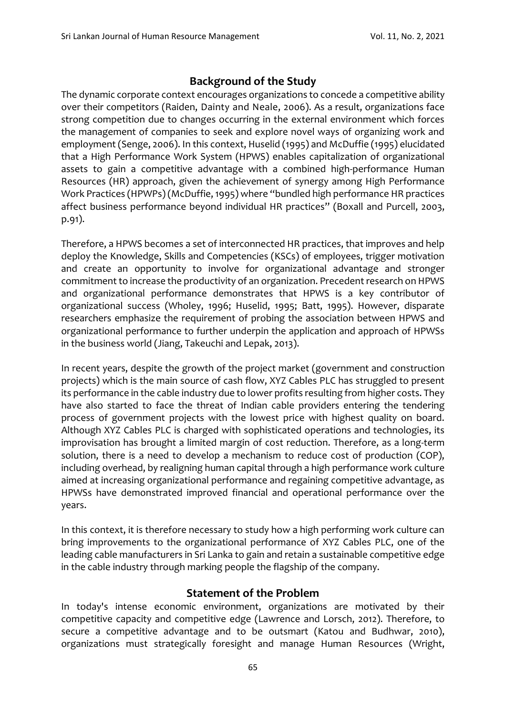# **Background of the Study**

The dynamic corporate context encourages organizations to concede a competitive ability over their competitors (Raiden, Dainty and Neale, 2006). As a result, organizations face strong competition due to changes occurring in the external environment which forces the management of companies to seek and explore novel ways of organizing work and employment (Senge, 2006). In this context, Huselid (1995) and McDuffie (1995) elucidated that a High Performance Work System (HPWS) enables capitalization of organizational assets to gain a competitive advantage with a combined high-performance Human Resources (HR) approach, given the achievement of synergy among High Performance Work Practices (HPWPs) (McDuffie, 1995) where "bundled high performance HR practices affect business performance beyond individual HR practices" (Boxall and Purcell, 2003, p.91).

Therefore, a HPWS becomes a set of interconnected HR practices, that improves and help deploy the Knowledge, Skills and Competencies (KSCs) of employees, trigger motivation and create an opportunity to involve for organizational advantage and stronger commitment to increase the productivity of an organization. Precedent research on HPWS and organizational performance demonstrates that HPWS is a key contributor of organizational success (Wholey, 1996; Huselid, 1995; Batt, 1995). However, disparate researchers emphasize the requirement of probing the association between HPWS and organizational performance to further underpin the application and approach of HPWSs in the business world (Jiang, Takeuchi and Lepak, 2013).

In recent years, despite the growth of the project market (government and construction projects) which is the main source of cash flow, XYZ Cables PLC has struggled to present its performance in the cable industry due to lower profits resulting from higher costs. They have also started to face the threat of Indian cable providers entering the tendering process of government projects with the lowest price with highest quality on board. Although XYZ Cables PLC is charged with sophisticated operations and technologies, its improvisation has brought a limited margin of cost reduction. Therefore, as a long-term solution, there is a need to develop a mechanism to reduce cost of production (COP), including overhead, by realigning human capital through a high performance work culture aimed at increasing organizational performance and regaining competitive advantage, as HPWSs have demonstrated improved financial and operational performance over the years.

In this context, it is therefore necessary to study how a high performing work culture can bring improvements to the organizational performance of XYZ Cables PLC, one of the leading cable manufacturers in Sri Lanka to gain and retain a sustainable competitive edge in the cable industry through marking people the flagship of the company.

### **Statement of the Problem**

In today's intense economic environment, organizations are motivated by their competitive capacity and competitive edge (Lawrence and Lorsch, 2012). Therefore, to secure a competitive advantage and to be outsmart (Katou and Budhwar, 2010), organizations must strategically foresight and manage Human Resources (Wright,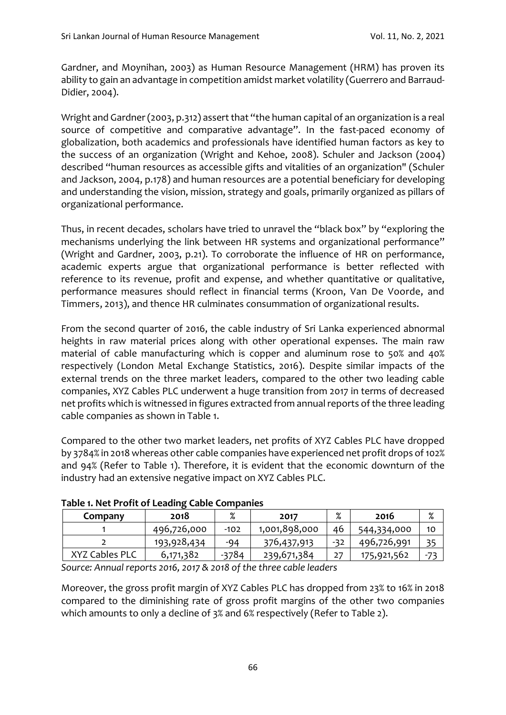Gardner, and Moynihan, 2003) as Human Resource Management (HRM) has proven its ability to gain an advantage in competition amidst market volatility (Guerrero and Barraud-Didier, 2004).

Wright and Gardner (2003, p.312) assert that "the human capital of an organization is a real source of competitive and comparative advantage". In the fast-paced economy of globalization, both academics and professionals have identified human factors as key to the success of an organization (Wright and Kehoe, 2008). Schuler and Jackson (2004) described "human resources as accessible gifts and vitalities of an organization" (Schuler and Jackson, 2004, p.178) and human resources are a potential beneficiary for developing and understanding the vision, mission, strategy and goals, primarily organized as pillars of organizational performance.

Thus, in recent decades, scholars have tried to unravel the "black box" by "exploring the mechanisms underlying the link between HR systems and organizational performance" (Wright and Gardner, 2003, p.21). To corroborate the influence of HR on performance, academic experts argue that organizational performance is better reflected with reference to its revenue, profit and expense, and whether quantitative or qualitative, performance measures should reflect in financial terms (Kroon, Van De Voorde, and Timmers, 2013), and thence HR culminates consummation of organizational results.

From the second quarter of 2016, the cable industry of Sri Lanka experienced abnormal heights in raw material prices along with other operational expenses. The main raw material of cable manufacturing which is copper and aluminum rose to 50% and 40% respectively (London Metal Exchange Statistics, 2016). Despite similar impacts of the external trends on the three market leaders, compared to the other two leading cable companies, XYZ Cables PLC underwent a huge transition from 2017 in terms of decreased net profits which is witnessed in figures extracted from annual reports of the three leading cable companies as shown in Table 1.

Compared to the other two market leaders, net profits of XYZ Cables PLC have dropped by 3784% in 2018 whereas other cable companies have experienced net profit drops of 102% and 94% (Refer to Table 1). Therefore, it is evident that the economic downturn of the industry had an extensive negative impact on XYZ Cables PLC.

| Company        | 2018        | %       | 2017          | $\mathbf{o}/$<br>/о | 2016        | %  |
|----------------|-------------|---------|---------------|---------------------|-------------|----|
|                | 496,726,000 | $-102$  | 1,001,898,000 | 46                  | 544,334,000 | 10 |
|                | 193,928,434 | -94     | 376,437,913   | -32                 | 496,726,991 | 35 |
| XYZ Cables PLC | 6,171,382   | $-3784$ | 239,671,384   | 27                  | 175,921,562 |    |
|                |             |         | .             |                     |             |    |

### **Table 1. Net Profit of Leading Cable Companies**

*Source: Annual reports 2016, 2017 & 2018 of the three cable leaders* 

Moreover, the gross profit margin of XYZ Cables PLC has dropped from 23% to 16% in 2018 compared to the diminishing rate of gross profit margins of the other two companies which amounts to only a decline of 3% and 6% respectively (Refer to Table 2).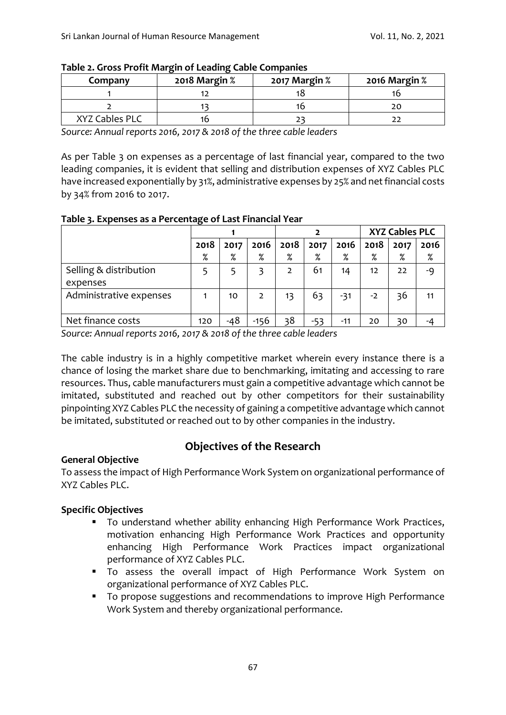| Company        | 2018 Margin % | 2017 Margin % | 2016 Margin % |
|----------------|---------------|---------------|---------------|
|                |               |               |               |
|                |               |               |               |
| XYZ Cables PLC |               |               |               |

#### **Table 2. Gross Profit Margin of Leading Cable Companies**

*Source: Annual reports 2016, 2017 & 2018 of the three cable leaders* 

As per Table 3 on expenses as a percentage of last financial year, compared to the two leading companies, it is evident that selling and distribution expenses of XYZ Cables PLC have increased exponentially by 31%, administrative expenses by 25% and net financial costs by 34% from 2016 to 2017.

#### **Table 3. Expenses as a Percentage of Last Financial Year**

|                                    |      |      |                |      |       |       | <b>XYZ Cables PLC</b> |      |      |
|------------------------------------|------|------|----------------|------|-------|-------|-----------------------|------|------|
|                                    | 2018 | 2017 | 2016           | 2018 | 2017  | 2016  | 2018                  | 2017 | 2016 |
|                                    | $\%$ | $\%$ | %              | $\%$ | $\%$  | $\%$  | $\%$                  | $\%$ | %    |
| Selling & distribution<br>expenses |      |      |                | 2    | 61    | 14    | 12                    | 22   | -9   |
| Administrative expenses            |      | 10   | $\overline{2}$ | 13   | 63    | $-31$ | $-2$                  | 36   | 11   |
| Net finance costs                  | 120  | -48  | $-156$         | 38   | $-53$ | -11   | 20                    | 30   |      |

*Source: Annual reports 2016, 2017 & 2018 of the three cable leaders* 

The cable industry is in a highly competitive market wherein every instance there is a chance of losing the market share due to benchmarking, imitating and accessing to rare resources. Thus, cable manufacturers must gain a competitive advantage which cannot be imitated, substituted and reached out by other competitors for their sustainability pinpointing XYZ Cables PLC the necessity of gaining a competitive advantage which cannot be imitated, substituted or reached out to by other companies in the industry.

# **Objectives of the Research**

### **General Objective**

To assess the impact of High Performance Work System on organizational performance of XYZ Cables PLC.

### **Specific Objectives**

- To understand whether ability enhancing High Performance Work Practices, motivation enhancing High Performance Work Practices and opportunity enhancing High Performance Work Practices impact organizational performance of XYZ Cables PLC.
- To assess the overall impact of High Performance Work System on organizational performance of XYZ Cables PLC.
- To propose suggestions and recommendations to improve High Performance Work System and thereby organizational performance.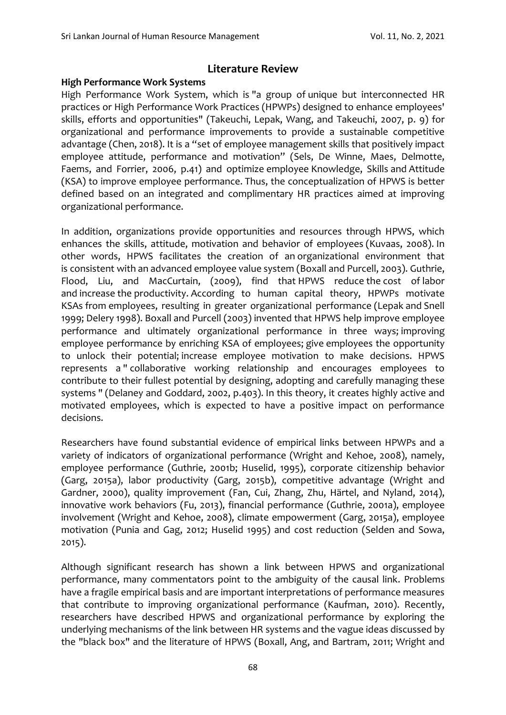### **Literature Review**

### **High Performance Work Systems**

High Performance Work System, which is "a group of unique but interconnected HR practices or High Performance Work Practices (HPWPs) designed to enhance employees' skills, efforts and opportunities" (Takeuchi, Lepak, Wang, and Takeuchi, 2007, p. 9) for organizational and performance improvements to provide a sustainable competitive advantage (Chen, 2018). It is a "set of employee management skills that positively impact employee attitude, performance and motivation" (Sels, De Winne, Maes, Delmotte, Faems, and Forrier, 2006, p.41) and optimize employee Knowledge, Skills and Attitude (KSA) to improve employee performance. Thus, the conceptualization of HPWS is better defined based on an integrated and complimentary HR practices aimed at improving organizational performance.

In addition, organizations provide opportunities and resources through HPWS, which enhances the skills, attitude, motivation and behavior of employees (Kuvaas, 2008). In other words, HPWS facilitates the creation of an organizational environment that is consistent with an advanced employee value system (Boxall and Purcell, 2003). Guthrie, Flood, Liu, and MacCurtain, (2009), find that HPWS reduce the cost of labor and increase the productivity. According to human capital theory, HPWPs motivate KSAs from employees, resulting in greater organizational performance (Lepak and Snell 1999; Delery 1998). Boxall and Purcell (2003) invented that HPWS help improve employee performance and ultimately organizational performance in three ways; improving employee performance by enriching KSA of employees; give employees the opportunity to unlock their potential; increase employee motivation to make decisions. HPWS represents a " collaborative working relationship and encourages employees to contribute to their fullest potential by designing, adopting and carefully managing these systems " (Delaney and Goddard, 2002, p.403). In this theory, it creates highly active and motivated employees, which is expected to have a positive impact on performance decisions.

Researchers have found substantial evidence of empirical links between HPWPs and a variety of indicators of organizational performance (Wright and Kehoe, 2008), namely, employee performance (Guthrie, 2001b; Huselid, 1995), corporate citizenship behavior (Garg, 2015a), labor productivity (Garg, 2015b), competitive advantage (Wright and Gardner, 2000), quality improvement (Fan, Cui, Zhang, Zhu, Härtel, and Nyland, 2014), innovative work behaviors (Fu, 2013), financial performance (Guthrie, 2001a), employee involvement (Wright and Kehoe, 2008), climate empowerment (Garg, 2015a), employee motivation (Punia and Gag, 2012; Huselid 1995) and cost reduction (Selden and Sowa, 2015).

Although significant research has shown a link between HPWS and organizational performance, many commentators point to the ambiguity of the causal link. Problems have a fragile empirical basis and are important interpretations of performance measures that contribute to improving organizational performance (Kaufman, 2010). Recently, researchers have described HPWS and organizational performance by exploring the underlying mechanisms of the link between HR systems and the vague ideas discussed by the "black box" and the literature of HPWS (Boxall, Ang, and Bartram, 2011; Wright and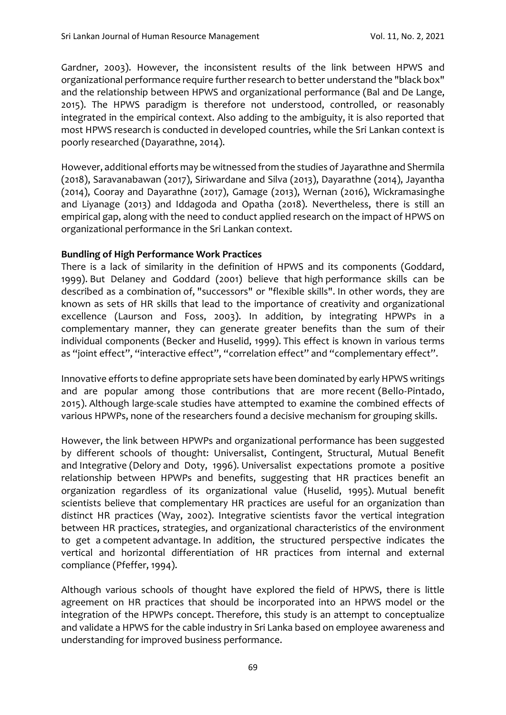Gardner, 2003). However, the inconsistent results of the link between HPWS and organizational performance require further research to better understand the "black box" and the relationship between HPWS and organizational performance (Bal and De Lange, 2015). The HPWS paradigm is therefore not understood, controlled, or reasonably integrated in the empirical context. Also adding to the ambiguity, it is also reported that most HPWS research is conducted in developed countries, while the Sri Lankan context is poorly researched (Dayarathne, 2014).

However, additional efforts may be witnessed from the studies of Jayarathne and Shermila (2018), Saravanabawan (2017), Siriwardane and Silva (2013), Dayarathne (2014), Jayantha (2014), Cooray and Dayarathne (2017), Gamage (2013), Wernan (2016), Wickramasinghe and Liyanage (2013) and Iddagoda and Opatha (2018). Nevertheless, there is still an empirical gap, along with the need to conduct applied research on the impact of HPWS on organizational performance in the Sri Lankan context.

#### **Bundling of High Performance Work Practices**

There is a lack of similarity in the definition of HPWS and its components (Goddard, 1999). But Delaney and Goddard (2001) believe that high performance skills can be described as a combination of, "successors" or "flexible skills". In other words, they are known as sets of HR skills that lead to the importance of creativity and organizational excellence (Laurson and Foss, 2003). In addition, by integrating HPWPs in a complementary manner, they can generate greater benefits than the sum of their individual components (Becker and Huselid, 1999). This effect is known in various terms as "joint effect", "interactive effect", "correlation effect" and "complementary effect".

Innovative efforts to define appropriate sets have been dominated by early HPWS writings and are popular among those contributions that are more recent (Bello-Pintado, 2015). Although large-scale studies have attempted to examine the combined effects of various HPWPs, none of the researchers found a decisive mechanism for grouping skills.

However, the link between HPWPs and organizational performance has been suggested by different schools of thought: Universalist, Contingent, Structural, Mutual Benefit and Integrative (Delory and Doty, 1996). Universalist expectations promote a positive relationship between HPWPs and benefits, suggesting that HR practices benefit an organization regardless of its organizational value (Huselid, 1995). Mutual benefit scientists believe that complementary HR practices are useful for an organization than distinct HR practices (Way, 2002). Integrative scientists favor the vertical integration between HR practices, strategies, and organizational characteristics of the environment to get a competent advantage. In addition, the structured perspective indicates the vertical and horizontal differentiation of HR practices from internal and external compliance (Pfeffer, 1994).

Although various schools of thought have explored the field of HPWS, there is little agreement on HR practices that should be incorporated into an HPWS model or the integration of the HPWPs concept. Therefore, this study is an attempt to conceptualize and validate a HPWS for the cable industry in Sri Lanka based on employee awareness and understanding for improved business performance.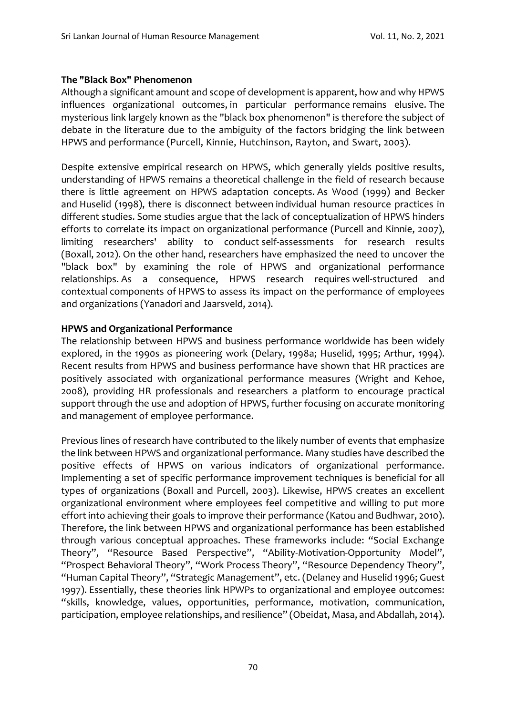#### **The "Black Box" Phenomenon**

Although a significant amount and scope of development is apparent, how and why HPWS influences organizational outcomes, in particular performance remains elusive. The mysterious link largely known as the "black box phenomenon" is therefore the subject of debate in the literature due to the ambiguity of the factors bridging the link between HPWS and performance (Purcell, Kinnie, Hutchinson, Rayton, and Swart, 2003).

Despite extensive empirical research on HPWS, which generally yields positive results, understanding of HPWS remains a theoretical challenge in the field of research because there is little agreement on HPWS adaptation concepts. As Wood (1999) and Becker and Huselid (1998), there is disconnect between individual human resource practices in different studies. Some studies argue that the lack of conceptualization of HPWS hinders efforts to correlate its impact on organizational performance (Purcell and Kinnie, 2007), limiting researchers' ability to conduct self-assessments for research results (Boxall, 2012). On the other hand, researchers have emphasized the need to uncover the "black box" by examining the role of HPWS and organizational performance relationships. As a consequence, HPWS research requires well-structured and contextual components of HPWS to assess its impact on the performance of employees and organizations (Yanadori and Jaarsveld, 2014).

### **HPWS and Organizational Performance**

The relationship between HPWS and business performance worldwide has been widely explored, in the 1990s as pioneering work (Delary, 1998a; Huselid, 1995; Arthur, 1994). Recent results from HPWS and business performance have shown that HR practices are positively associated with organizational performance measures (Wright and Kehoe, 2008), providing HR professionals and researchers a platform to encourage practical support through the use and adoption of HPWS, further focusing on accurate monitoring and management of employee performance.

Previous lines of research have contributed to the likely number of events that emphasize the link between HPWS and organizational performance. Many studies have described the positive effects of HPWS on various indicators of organizational performance. Implementing a set of specific performance improvement techniques is beneficial for all types of organizations (Boxall and Purcell, 2003). Likewise, HPWS creates an excellent organizational environment where employees feel competitive and willing to put more effort into achieving their goals to improve their performance (Katou and Budhwar, 2010). Therefore, the link between HPWS and organizational performance has been established through various conceptual approaches. These frameworks include: "Social Exchange Theory", "Resource Based Perspective", "Ability-Motivation-Opportunity Model", "Prospect Behavioral Theory", "Work Process Theory", "Resource Dependency Theory", "Human Capital Theory", "Strategic Management", etc. (Delaney and Huselid 1996; Guest 1997). Essentially, these theories link HPWPs to organizational and employee outcomes: "skills, knowledge, values, opportunities, performance, motivation, communication, participation, employee relationships, and resilience" (Obeidat, Masa, and Abdallah, 2014).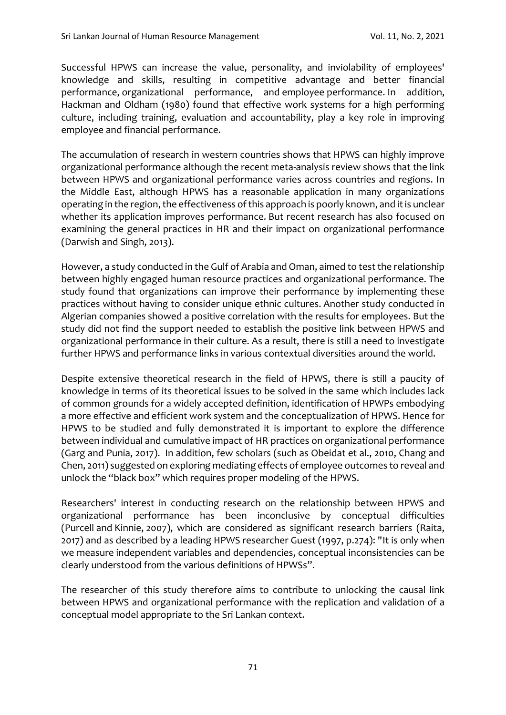Successful HPWS can increase the value, personality, and inviolability of employees' knowledge and skills, resulting in competitive advantage and better financial performance, organizational performance, and employee performance. In addition, Hackman and Oldham (1980) found that effective work systems for a high performing culture, including training, evaluation and accountability, play a key role in improving employee and financial performance.

The accumulation of research in western countries shows that HPWS can highly improve organizational performance although the recent meta-analysis review shows that the link between HPWS and organizational performance varies across countries and regions. In the Middle East, although HPWS has a reasonable application in many organizations operating in the region, the effectiveness of this approach is poorly known, and it is unclear whether its application improves performance. But recent research has also focused on examining the general practices in HR and their impact on organizational performance (Darwish and Singh, 2013).

However, a study conducted in the Gulf of Arabia and Oman, aimed to test the relationship between highly engaged human resource practices and organizational performance. The study found that organizations can improve their performance by implementing these practices without having to consider unique ethnic cultures. Another study conducted in Algerian companies showed a positive correlation with the results for employees. But the study did not find the support needed to establish the positive link between HPWS and organizational performance in their culture. As a result, there is still a need to investigate further HPWS and performance links in various contextual diversities around the world.

Despite extensive theoretical research in the field of HPWS, there is still a paucity of knowledge in terms of its theoretical issues to be solved in the same which includes lack of common grounds for a widely accepted definition, identification of HPWPs embodying a more effective and efficient work system and the conceptualization of HPWS. Hence for HPWS to be studied and fully demonstrated it is important to explore the difference between individual and cumulative impact of HR practices on organizational performance (Garg and Punia, 2017). In addition, few scholars (such as Obeidat et al., 2010, Chang and Chen, 2011) suggested on exploring mediating effects of employee outcomes to reveal and unlock the "black box" which requires proper modeling of the HPWS.

Researchers' interest in conducting research on the relationship between HPWS and organizational performance has been inconclusive by conceptual difficulties (Purcell and Kinnie, 2007), which are considered as significant research barriers (Raita, 2017) and as described by a leading HPWS researcher Guest (1997, p.274): "It is only when we measure independent variables and dependencies, conceptual inconsistencies can be clearly understood from the various definitions of HPWSs".

The researcher of this study therefore aims to contribute to unlocking the causal link between HPWS and organizational performance with the replication and validation of a conceptual model appropriate to the Sri Lankan context.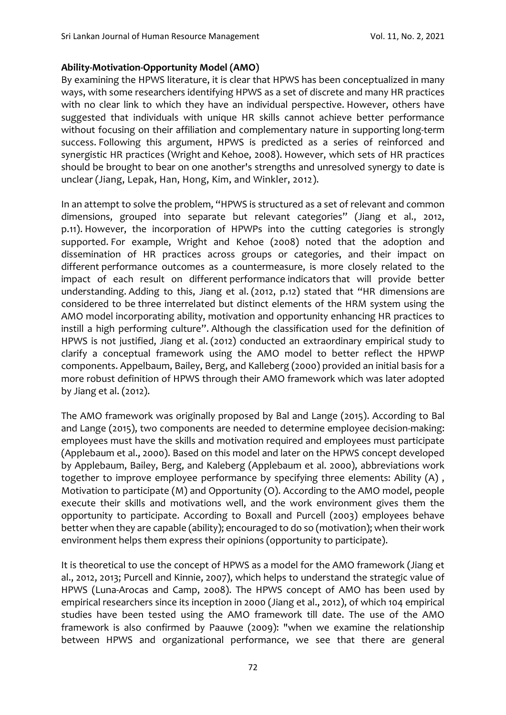### **Ability-Motivation-Opportunity Model (AMO)**

By examining the HPWS literature, it is clear that HPWS has been conceptualized in many ways, with some researchers identifying HPWS as a set of discrete and many HR practices with no clear link to which they have an individual perspective. However, others have suggested that individuals with unique HR skills cannot achieve better performance without focusing on their affiliation and complementary nature in supporting long-term success. Following this argument, HPWS is predicted as a series of reinforced and synergistic HR practices (Wright and Kehoe, 2008). However, which sets of HR practices should be brought to bear on one another's strengths and unresolved synergy to date is unclear (Jiang, Lepak, Han, Hong, Kim, and Winkler, 2012).

In an attempt to solve the problem, "HPWS is structured as a set of relevant and common dimensions, grouped into separate but relevant categories" (Jiang et al., 2012, p.11). However, the incorporation of HPWPs into the cutting categories is strongly supported. For example, Wright and Kehoe (2008) noted that the adoption and dissemination of HR practices across groups or categories, and their impact on different performance outcomes as a countermeasure, is more closely related to the impact of each result on different performance indicators that will provide better understanding. Adding to this, Jiang et al. (2012, p.12) stated that "HR dimensions are considered to be three interrelated but distinct elements of the HRM system using the AMO model incorporating ability, motivation and opportunity enhancing HR practices to instill a high performing culture". Although the classification used for the definition of HPWS is not justified, Jiang et al. (2012) conducted an extraordinary empirical study to clarify a conceptual framework using the AMO model to better reflect the HPWP components. Appelbaum, Bailey, Berg, and Kalleberg (2000) provided an initial basis for a more robust definition of HPWS through their AMO framework which was later adopted by Jiang et al. (2012).

The AMO framework was originally proposed by Bal and Lange (2015). According to Bal and Lange (2015), two components are needed to determine employee decision-making: employees must have the skills and motivation required and employees must participate (Applebaum et al., 2000). Based on this model and later on the HPWS concept developed by Applebaum, Bailey, Berg, and Kaleberg (Applebaum et al. 2000), abbreviations work together to improve employee performance by specifying three elements: Ability (A) , Motivation to participate (M) and Opportunity (O). According to the AMO model, people execute their skills and motivations well, and the work environment gives them the opportunity to participate. According to Boxall and Purcell (2003) employees behave better when they are capable (ability); encouraged to do so (motivation); when their work environment helps them express their opinions (opportunity to participate).

It is theoretical to use the concept of HPWS as a model for the AMO framework (Jiang et al., 2012, 2013; Purcell and Kinnie, 2007), which helps to understand the strategic value of HPWS (Luna-Arocas and Camp, 2008). The HPWS concept of AMO has been used by empirical researchers since its inception in 2000 (Jiang et al., 2012), of which 104 empirical studies have been tested using the AMO framework till date. The use of the AMO framework is also confirmed by Paauwe (2009): "when we examine the relationship between HPWS and organizational performance, we see that there are general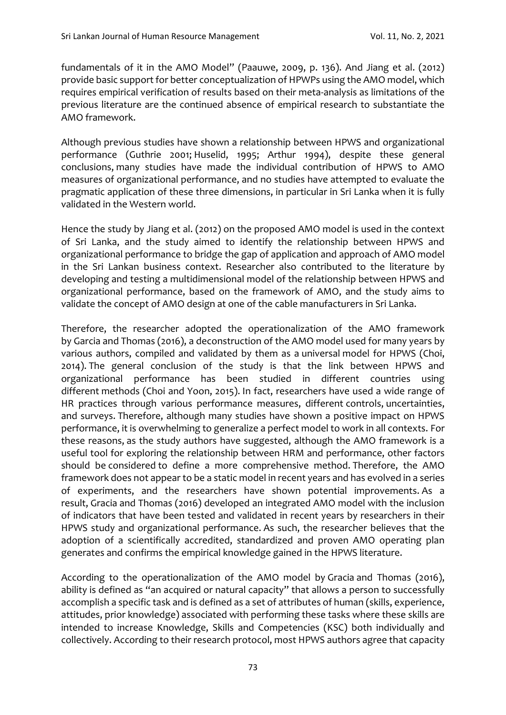fundamentals of it in the AMO Model" (Paauwe, 2009, p. 136). And Jiang et al. (2012) provide basic support for better conceptualization of HPWPs using the AMO model, which requires empirical verification of results based on their meta-analysis as limitations of the previous literature are the continued absence of empirical research to substantiate the AMO framework.

Although previous studies have shown a relationship between HPWS and organizational performance (Guthrie 2001; Huselid, 1995; Arthur 1994), despite these general conclusions, many studies have made the individual contribution of HPWS to AMO measures of organizational performance, and no studies have attempted to evaluate the pragmatic application of these three dimensions, in particular in Sri Lanka when it is fully validated in the Western world.

Hence the study by Jiang et al. (2012) on the proposed AMO model is used in the context of Sri Lanka, and the study aimed to identify the relationship between HPWS and organizational performance to bridge the gap of application and approach of AMO model in the Sri Lankan business context. Researcher also contributed to the literature by developing and testing a multidimensional model of the relationship between HPWS and organizational performance, based on the framework of AMO, and the study aims to validate the concept of AMO design at one of the cable manufacturers in Sri Lanka.

Therefore, the researcher adopted the operationalization of the AMO framework by Garcia and Thomas (2016), a deconstruction of the AMO model used for many years by various authors, compiled and validated by them as a universal model for HPWS (Choi, 2014). The general conclusion of the study is that the link between HPWS and organizational performance has been studied in different countries using different methods (Choi and Yoon, 2015). In fact, researchers have used a wide range of HR practices through various performance measures, different controls, uncertainties, and surveys. Therefore, although many studies have shown a positive impact on HPWS performance, it is overwhelming to generalize a perfect model to work in all contexts. For these reasons, as the study authors have suggested, although the AMO framework is a useful tool for exploring the relationship between HRM and performance, other factors should be considered to define a more comprehensive method. Therefore, the AMO framework does not appear to be a static model in recent years and has evolved in a series of experiments, and the researchers have shown potential improvements. As a result, Gracia and Thomas (2016) developed an integrated AMO model with the inclusion of indicators that have been tested and validated in recent years by researchers in their HPWS study and organizational performance. As such, the researcher believes that the adoption of a scientifically accredited, standardized and proven AMO operating plan generates and confirms the empirical knowledge gained in the HPWS literature.

According to the operationalization of the AMO model by Gracia and Thomas (2016), ability is defined as "an acquired or natural capacity" that allows a person to successfully accomplish a specific task and is defined as a set of attributes of human (skills, experience, attitudes, prior knowledge) associated with performing these tasks where these skills are intended to increase Knowledge, Skills and Competencies (KSC) both individually and collectively. According to their research protocol, most HPWS authors agree that capacity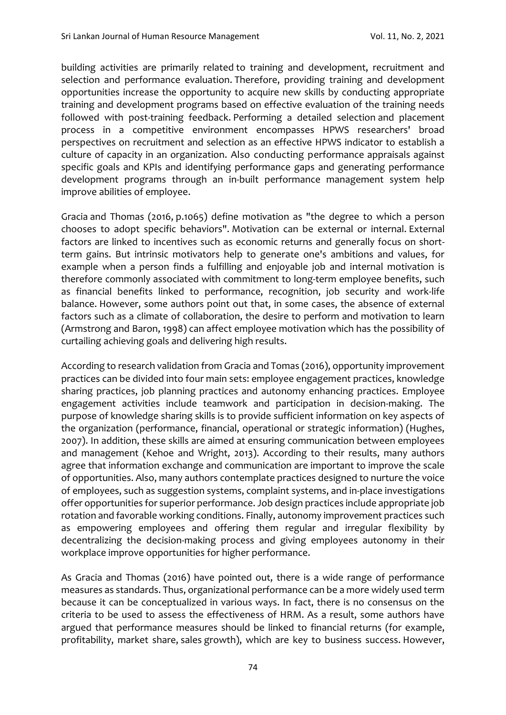building activities are primarily related to training and development, recruitment and selection and performance evaluation. Therefore, providing training and development opportunities increase the opportunity to acquire new skills by conducting appropriate training and development programs based on effective evaluation of the training needs followed with post-training feedback. Performing a detailed selection and placement process in a competitive environment encompasses HPWS researchers' broad perspectives on recruitment and selection as an effective HPWS indicator to establish a culture of capacity in an organization. Also conducting performance appraisals against specific goals and KPIs and identifying performance gaps and generating performance development programs through an in-built performance management system help improve abilities of employee.

Gracia and Thomas (2016, p.1065) define motivation as "the degree to which a person chooses to adopt specific behaviors". Motivation can be external or internal. External factors are linked to incentives such as economic returns and generally focus on shortterm gains. But intrinsic motivators help to generate one's ambitions and values, for example when a person finds a fulfilling and enjoyable job and internal motivation is therefore commonly associated with commitment to long-term employee benefits, such as financial benefits linked to performance, recognition, job security and work-life balance. However, some authors point out that, in some cases, the absence of external factors such as a climate of collaboration, the desire to perform and motivation to learn (Armstrong and Baron, 1998) can affect employee motivation which has the possibility of curtailing achieving goals and delivering high results.

According to research validation from Gracia and Tomas (2016), opportunity improvement practices can be divided into four main sets: employee engagement practices, knowledge sharing practices, job planning practices and autonomy enhancing practices. Employee engagement activities include teamwork and participation in decision-making. The purpose of knowledge sharing skills is to provide sufficient information on key aspects of the organization (performance, financial, operational or strategic information) (Hughes, 2007). In addition, these skills are aimed at ensuring communication between employees and management (Kehoe and Wright, 2013). According to their results, many authors agree that information exchange and communication are important to improve the scale of opportunities. Also, many authors contemplate practices designed to nurture the voice of employees, such as suggestion systems, complaint systems, and in-place investigations offer opportunities for superior performance. Job design practices include appropriate job rotation and favorable working conditions. Finally, autonomy improvement practices such as empowering employees and offering them regular and irregular flexibility by decentralizing the decision-making process and giving employees autonomy in their workplace improve opportunities for higher performance.

As Gracia and Thomas (2016) have pointed out, there is a wide range of performance measures as standards. Thus, organizational performance can be a more widely used term because it can be conceptualized in various ways. In fact, there is no consensus on the criteria to be used to assess the effectiveness of HRM. As a result, some authors have argued that performance measures should be linked to financial returns (for example, profitability, market share, sales growth), which are key to business success. However,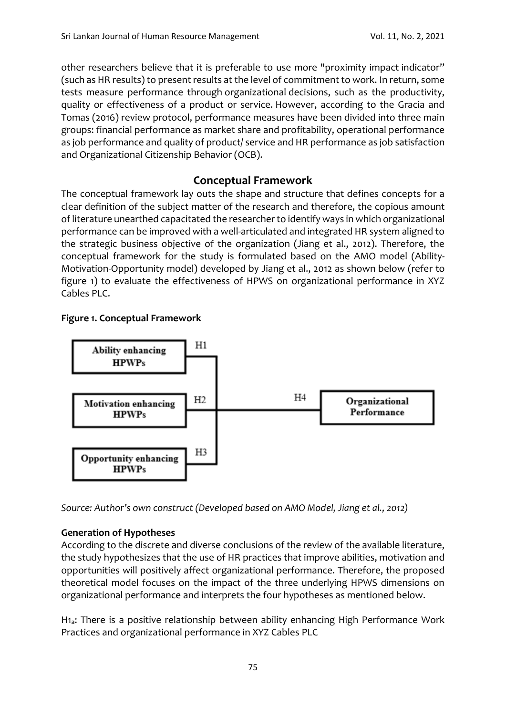other researchers believe that it is preferable to use more "proximity impact indicator" (such as HR results) to present results at the level of commitment to work. In return, some tests measure performance through organizational decisions, such as the productivity, quality or effectiveness of a product or service. However, according to the Gracia and Tomas (2016) review protocol, performance measures have been divided into three main groups: financial performance as market share and profitability, operational performance as job performance and quality of product/ service and HR performance as job satisfaction and Organizational Citizenship Behavior (OCB).

# **Conceptual Framework**

The conceptual framework lay outs the shape and structure that defines concepts for a clear definition of the subject matter of the research and therefore, the copious amount of literature unearthed capacitated the researcher to identify ways in which organizational performance can be improved with a well-articulated and integrated HR system aligned to the strategic business objective of the organization (Jiang et al., 2012). Therefore, the conceptual framework for the study is formulated based on the AMO model (Ability-Motivation-Opportunity model) developed by Jiang et al., 2012 as shown below (refer to figure 1) to evaluate the effectiveness of HPWS on organizational performance in XYZ Cables PLC.

### **Figure 1. Conceptual Framework**



*Source: Author's own construct (Developed based on AMO Model, Jiang et al., 2012)* 

# **Generation of Hypotheses**

According to the discrete and diverse conclusions of the review of the available literature, the study hypothesizes that the use of HR practices that improve abilities, motivation and opportunities will positively affect organizational performance. Therefore, the proposed theoretical model focuses on the impact of the three underlying HPWS dimensions on organizational performance and interprets the four hypotheses as mentioned below.

H1a: There is a positive relationship between ability enhancing High Performance Work Practices and organizational performance in XYZ Cables PLC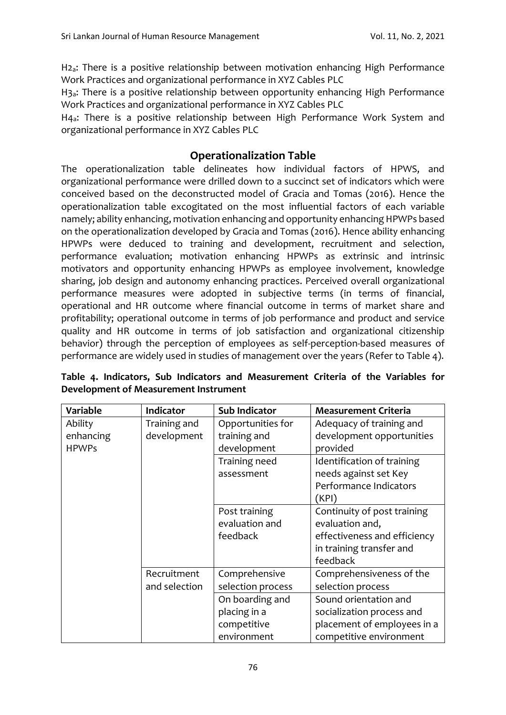H2a: There is a positive relationship between motivation enhancing High Performance Work Practices and organizational performance in XYZ Cables PLC

H3a: There is a positive relationship between opportunity enhancing High Performance Work Practices and organizational performance in XYZ Cables PLC

H4a: There is a positive relationship between High Performance Work System and organizational performance in XYZ Cables PLC

# **Operationalization Table**

The operationalization table delineates how individual factors of HPWS, and organizational performance were drilled down to a succinct set of indicators which were conceived based on the deconstructed model of Gracia and Tomas (2016). Hence the operationalization table excogitated on the most influential factors of each variable namely; ability enhancing, motivation enhancing and opportunity enhancing HPWPs based on the operationalization developed by Gracia and Tomas (2016). Hence ability enhancing HPWPs were deduced to training and development, recruitment and selection, performance evaluation; motivation enhancing HPWPs as extrinsic and intrinsic motivators and opportunity enhancing HPWPs as employee involvement, knowledge sharing, job design and autonomy enhancing practices. Perceived overall organizational performance measures were adopted in subjective terms (in terms of financial, operational and HR outcome where financial outcome in terms of market share and profitability; operational outcome in terms of job performance and product and service quality and HR outcome in terms of job satisfaction and organizational citizenship behavior) through the perception of employees as self-perception-based measures of performance are widely used in studies of management over the years (Refer to Table 4).

| Variable     | <b>Indicator</b> | <b>Sub Indicator</b> | <b>Measurement Criteria</b>  |
|--------------|------------------|----------------------|------------------------------|
| Ability      | Training and     | Opportunities for    | Adequacy of training and     |
| enhancing    | development      | training and         | development opportunities    |
| <b>HPWPs</b> |                  | development          | provided                     |
|              |                  | Training need        | Identification of training   |
|              |                  | assessment           | needs against set Key        |
|              |                  |                      | Performance Indicators       |
|              |                  |                      | (KPI)                        |
|              |                  | Post training        | Continuity of post training  |
|              |                  | evaluation and       | evaluation and,              |
|              |                  | feedback             | effectiveness and efficiency |
|              |                  |                      | in training transfer and     |
|              |                  |                      | feedback                     |
|              | Recruitment      | Comprehensive        | Comprehensiveness of the     |
|              | and selection    | selection process    | selection process            |
|              |                  | On boarding and      | Sound orientation and        |
|              |                  | placing in a         | socialization process and    |
|              |                  | competitive          | placement of employees in a  |
|              |                  | environment          | competitive environment      |

**Table 4. Indicators, Sub Indicators and Measurement Criteria of the Variables for Development of Measurement Instrument**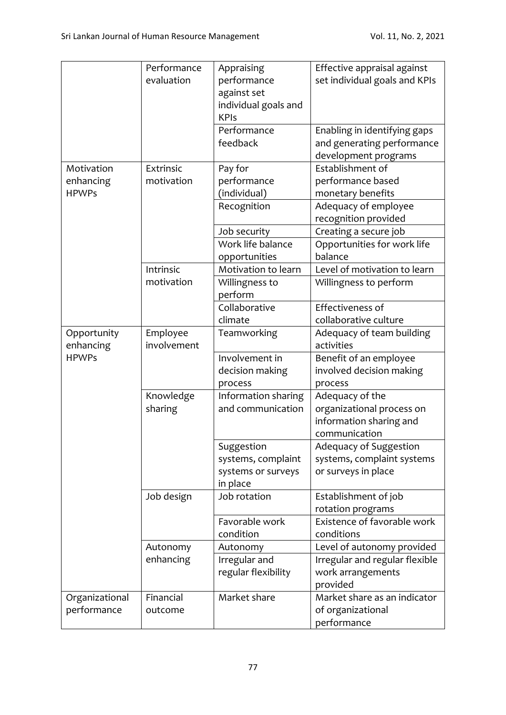|                | Performance | Appraising           | Effective appraisal against    |
|----------------|-------------|----------------------|--------------------------------|
|                | evaluation  | performance          | set individual goals and KPIs  |
|                |             | against set          |                                |
|                |             | individual goals and |                                |
|                |             | <b>KPIs</b>          |                                |
|                |             | Performance          | Enabling in identifying gaps   |
|                |             | feedback             | and generating performance     |
|                |             |                      | development programs           |
| Motivation     | Extrinsic   | Pay for              | Establishment of               |
| enhancing      | motivation  | performance          | performance based              |
| <b>HPWPs</b>   |             | (individual)         | monetary benefits              |
|                |             | Recognition          | Adequacy of employee           |
|                |             |                      | recognition provided           |
|                |             | Job security         | Creating a secure job          |
|                |             | Work life balance    | Opportunities for work life    |
|                |             | opportunities        | balance                        |
|                | Intrinsic   | Motivation to learn  | Level of motivation to learn   |
|                | motivation  | Willingness to       | Willingness to perform         |
|                |             | perform              |                                |
|                |             | Collaborative        | Effectiveness of               |
|                |             | climate              | collaborative culture          |
| Opportunity    | Employee    | Teamworking          | Adequacy of team building      |
| enhancing      | involvement |                      | activities                     |
| <b>HPWPs</b>   |             | Involvement in       | Benefit of an employee         |
|                |             | decision making      | involved decision making       |
|                |             | process              | process                        |
|                | Knowledge   | Information sharing  | Adequacy of the                |
|                | sharing     | and communication    | organizational process on      |
|                |             |                      | information sharing and        |
|                |             |                      | communication                  |
|                |             | Suggestion           | Adequacy of Suggestion         |
|                |             | systems, complaint   | systems, complaint systems     |
|                |             | systems or surveys   | or surveys in place            |
|                |             | in place             |                                |
|                | Job design  | Job rotation         | Establishment of job           |
|                |             |                      | rotation programs              |
|                |             | Favorable work       | Existence of favorable work    |
|                |             | condition            | conditions                     |
|                | Autonomy    | Autonomy             | Level of autonomy provided     |
|                | enhancing   | Irregular and        | Irregular and regular flexible |
|                |             | regular flexibility  | work arrangements              |
|                |             |                      | provided                       |
| Organizational | Financial   | Market share         | Market share as an indicator   |
| performance    | outcome     |                      | of organizational              |
|                |             |                      | performance                    |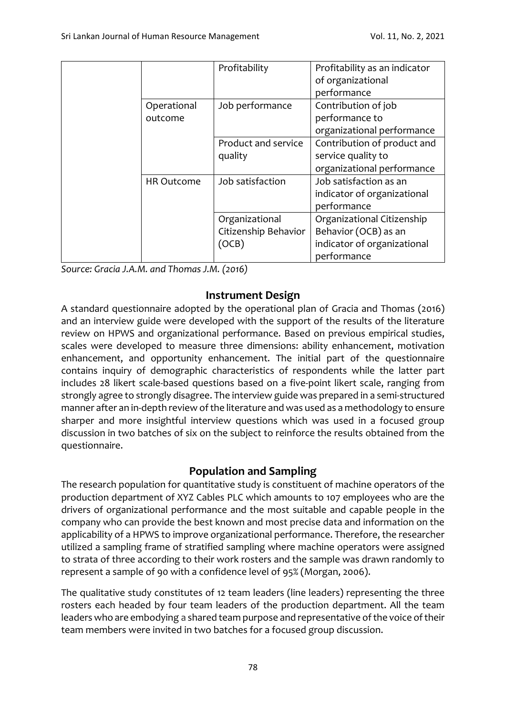|                   | Profitability        | Profitability as an indicator |
|-------------------|----------------------|-------------------------------|
|                   |                      | of organizational             |
|                   |                      | performance                   |
| Operational       | Job performance      | Contribution of job           |
| outcome           |                      | performance to                |
|                   |                      | organizational performance    |
|                   | Product and service  | Contribution of product and   |
|                   | quality              | service quality to            |
|                   |                      | organizational performance    |
| <b>HR Outcome</b> | Job satisfaction     | Job satisfaction as an        |
|                   |                      | indicator of organizational   |
|                   |                      | performance                   |
|                   | Organizational       | Organizational Citizenship    |
|                   | Citizenship Behavior | Behavior (OCB) as an          |
|                   | (OCB)                | indicator of organizational   |
|                   |                      | performance                   |

*Source: Gracia J.A.M. and Thomas J.M. (2016)*

# **Instrument Design**

A standard questionnaire adopted by the operational plan of Gracia and Thomas (2016) and an interview guide were developed with the support of the results of the literature review on HPWS and organizational performance. Based on previous empirical studies, scales were developed to measure three dimensions: ability enhancement, motivation enhancement, and opportunity enhancement. The initial part of the questionnaire contains inquiry of demographic characteristics of respondents while the latter part includes 28 likert scale-based questions based on a five-point likert scale, ranging from strongly agree to strongly disagree. The interview guide was prepared in a semi-structured manner after an in-depth review of the literature and was used as a methodology to ensure sharper and more insightful interview questions which was used in a focused group discussion in two batches of six on the subject to reinforce the results obtained from the questionnaire.

# **Population and Sampling**

The research population for quantitative study is constituent of machine operators of the production department of XYZ Cables PLC which amounts to 107 employees who are the drivers of organizational performance and the most suitable and capable people in the company who can provide the best known and most precise data and information on the applicability of a HPWS to improve organizational performance. Therefore, the researcher utilized a sampling frame of stratified sampling where machine operators were assigned to strata of three according to their work rosters and the sample was drawn randomly to represent a sample of 90 with a confidence level of 95% (Morgan, 2006).

The qualitative study constitutes of 12 team leaders (line leaders) representing the three rosters each headed by four team leaders of the production department. All the team leaders who are embodying a shared team purpose and representative of the voice of their team members were invited in two batches for a focused group discussion.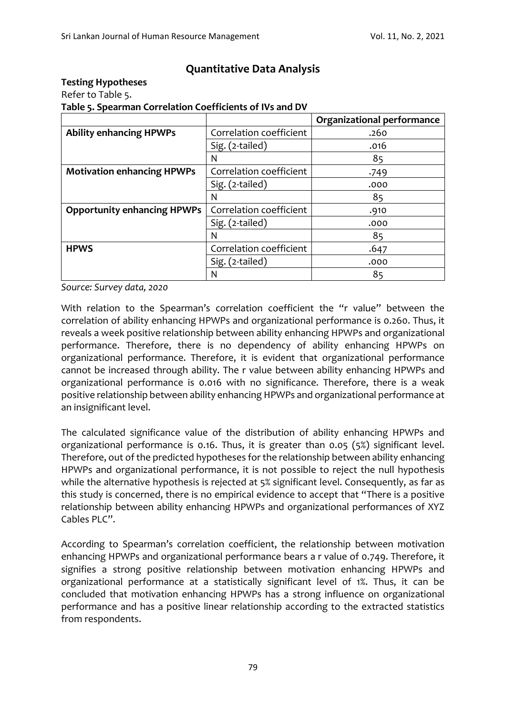# **Quantitative Data Analysis**

### **Testing Hypotheses**

Refer to Table 5.

**Table 5. Spearman Correlation Coefficients of IVs and DV**

|                                    |                         | <b>Organizational performance</b> |
|------------------------------------|-------------------------|-----------------------------------|
| <b>Ability enhancing HPWPs</b>     | Correlation coefficient | .260                              |
|                                    | Sig. (2-tailed)         | .016                              |
|                                    | N                       | 85                                |
| <b>Motivation enhancing HPWPs</b>  | Correlation coefficient | .749                              |
|                                    | Sig. (2-tailed)         | .000                              |
|                                    | N                       | 85                                |
| <b>Opportunity enhancing HPWPs</b> | Correlation coefficient | .910                              |
|                                    | Sig. (2-tailed)         | .000                              |
|                                    | N                       | 85                                |
| <b>HPWS</b>                        | Correlation coefficient | .647                              |
|                                    | Sig. (2-tailed)         | .000                              |
|                                    | N                       | 85                                |

*Source: Survey data, 2020*

With relation to the Spearman's correlation coefficient the "r value" between the correlation of ability enhancing HPWPs and organizational performance is 0.260. Thus, it reveals a week positive relationship between ability enhancing HPWPs and organizational performance. Therefore, there is no dependency of ability enhancing HPWPs on organizational performance. Therefore, it is evident that organizational performance cannot be increased through ability. The r value between ability enhancing HPWPs and organizational performance is 0.016 with no significance. Therefore, there is a weak positive relationship between ability enhancing HPWPs and organizational performance at an insignificant level.

The calculated significance value of the distribution of ability enhancing HPWPs and organizational performance is 0.16. Thus, it is greater than 0.05 (5%) significant level. Therefore, out of the predicted hypotheses for the relationship between ability enhancing HPWPs and organizational performance, it is not possible to reject the null hypothesis while the alternative hypothesis is rejected at 5% significant level. Consequently, as far as this study is concerned, there is no empirical evidence to accept that "There is a positive relationship between ability enhancing HPWPs and organizational performances of XYZ Cables PLC".

According to Spearman's correlation coefficient, the relationship between motivation enhancing HPWPs and organizational performance bears a r value of 0.749. Therefore, it signifies a strong positive relationship between motivation enhancing HPWPs and organizational performance at a statistically significant level of 1%. Thus, it can be concluded that motivation enhancing HPWPs has a strong influence on organizational performance and has a positive linear relationship according to the extracted statistics from respondents.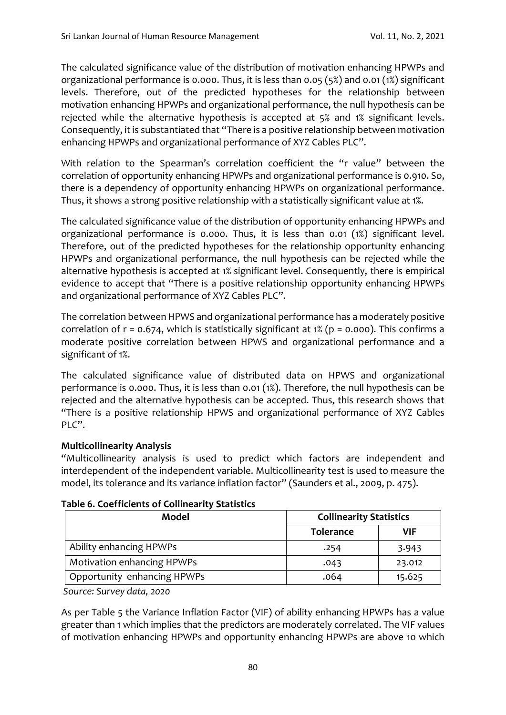The calculated significance value of the distribution of motivation enhancing HPWPs and organizational performance is 0.000. Thus, it is less than 0.05 (5%) and 0.01 (1%) significant levels. Therefore, out of the predicted hypotheses for the relationship between motivation enhancing HPWPs and organizational performance, the null hypothesis can be rejected while the alternative hypothesis is accepted at 5% and 1% significant levels. Consequently, it is substantiated that "There is a positive relationship between motivation enhancing HPWPs and organizational performance of XYZ Cables PLC".

With relation to the Spearman's correlation coefficient the "r value" between the correlation of opportunity enhancing HPWPs and organizational performance is 0.910. So, there is a dependency of opportunity enhancing HPWPs on organizational performance. Thus, it shows a strong positive relationship with a statistically significant value at 1%.

The calculated significance value of the distribution of opportunity enhancing HPWPs and organizational performance is 0.000. Thus, it is less than 0.01 (1%) significant level. Therefore, out of the predicted hypotheses for the relationship opportunity enhancing HPWPs and organizational performance, the null hypothesis can be rejected while the alternative hypothesis is accepted at 1% significant level. Consequently, there is empirical evidence to accept that "There is a positive relationship opportunity enhancing HPWPs and organizational performance of XYZ Cables PLC".

The correlation between HPWS and organizational performance has a moderately positive correlation of  $r = 0.674$ , which is statistically significant at 1% ( $p = 0.000$ ). This confirms a moderate positive correlation between HPWS and organizational performance and a significant of 1%.

The calculated significance value of distributed data on HPWS and organizational performance is 0.000. Thus, it is less than 0.01 (1%). Therefore, the null hypothesis can be rejected and the alternative hypothesis can be accepted. Thus, this research shows that "There is a positive relationship HPWS and organizational performance of XYZ Cables PLC".

### **Multicollinearity Analysis**

"Multicollinearity analysis is used to predict which factors are independent and interdependent of the independent variable. Multicollinearity test is used to measure the model, its tolerance and its variance inflation factor" (Saunders et al., 2009, p. 475).

| able 6. Coefficients of Collinearity Statistics |                                |        |
|-------------------------------------------------|--------------------------------|--------|
| Model                                           | <b>Collinearity Statistics</b> |        |
|                                                 | <b>Tolerance</b>               | VIF    |
| Ability enhancing HPWPs                         | .254                           | 3.943  |
| <b>Motivation enhancing HPWPs</b>               | .043                           | 23.012 |

# **Table 6. Coefficients of Collinearity Statistics**

*Source: Survey data, 2020*

As per Table 5 the Variance Inflation Factor (VIF) of ability enhancing HPWPs has a value greater than 1 which implies that the predictors are moderately correlated. The VIF values of motivation enhancing HPWPs and opportunity enhancing HPWPs are above 10 which

Opportunity enhancing HPWPs  $\vert$  .064 15.625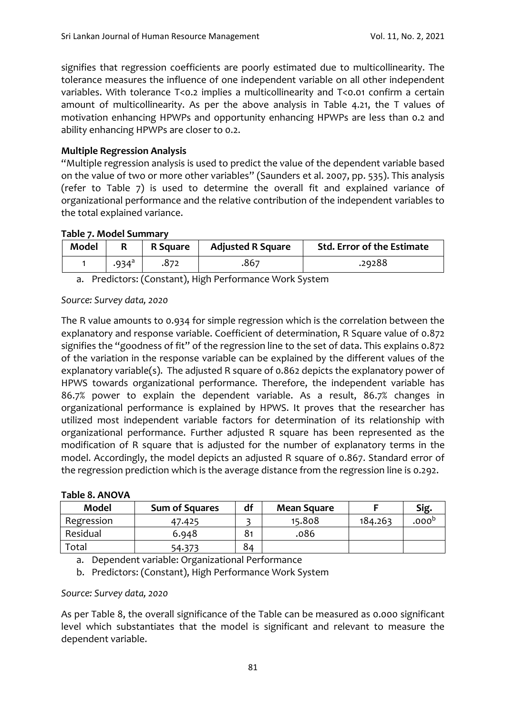signifies that regression coefficients are poorly estimated due to multicollinearity. The tolerance measures the influence of one independent variable on all other independent variables. With tolerance T<0.2 implies a multicollinearity and T<0.01 confirm a certain amount of multicollinearity. As per the above analysis in Table 4.21, the T values of motivation enhancing HPWPs and opportunity enhancing HPWPs are less than 0.2 and ability enhancing HPWPs are closer to 0.2.

### **Multiple Regression Analysis**

"Multiple regression analysis is used to predict the value of the dependent variable based on the value of two or more other variables" (Saunders et al. 2007, pp. 535). This analysis (refer to Table 7) is used to determine the overall fit and explained variance of organizational performance and the relative contribution of the independent variables to the total explained variance.

### **Table 7. Model Summary**

| <b>Model</b> |                   | R Square | <b>Adjusted R Square</b> | <b>Std. Error of the Estimate</b> |
|--------------|-------------------|----------|--------------------------|-----------------------------------|
|              | .934 <sup>d</sup> |          | .867                     | .29288                            |

a. Predictors: (Constant), High Performance Work System

#### *Source: Survey data, 2020*

The R value amounts to 0.934 for simple regression which is the correlation between the explanatory and response variable. Coefficient of determination, R Square value of 0.872 signifies the "goodness of fit" of the regression line to the set of data. This explains 0.872 of the variation in the response variable can be explained by the different values of the explanatory variable(s). The adjusted R square of 0.862 depicts the explanatory power of HPWS towards organizational performance. Therefore, the independent variable has 86.7% power to explain the dependent variable. As a result, 86.7% changes in organizational performance is explained by HPWS. It proves that the researcher has utilized most independent variable factors for determination of its relationship with organizational performance. Further adjusted R square has been represented as the modification of R square that is adjusted for the number of explanatory terms in the model. Accordingly, the model depicts an adjusted R square of 0.867. Standard error of the regression prediction which is the average distance from the regression line is 0.292.

| <b>Model</b> | <b>Sum of Squares</b> | df             | <b>Mean Square</b> |         | Sig.              |
|--------------|-----------------------|----------------|--------------------|---------|-------------------|
| Regression   | 47.425                |                | 15.808             | 184.263 | .000 <sup>b</sup> |
| Residual     | 6.948                 | 8 <sub>1</sub> | .086               |         |                   |
| Total        | 54.373                | 84             |                    |         |                   |

#### **Table 8. ANOVA**

a. Dependent variable: Organizational Performance

b. Predictors: (Constant), High Performance Work System

#### *Source: Survey data, 2020*

As per Table 8, the overall significance of the Table can be measured as 0.000 significant level which substantiates that the model is significant and relevant to measure the dependent variable.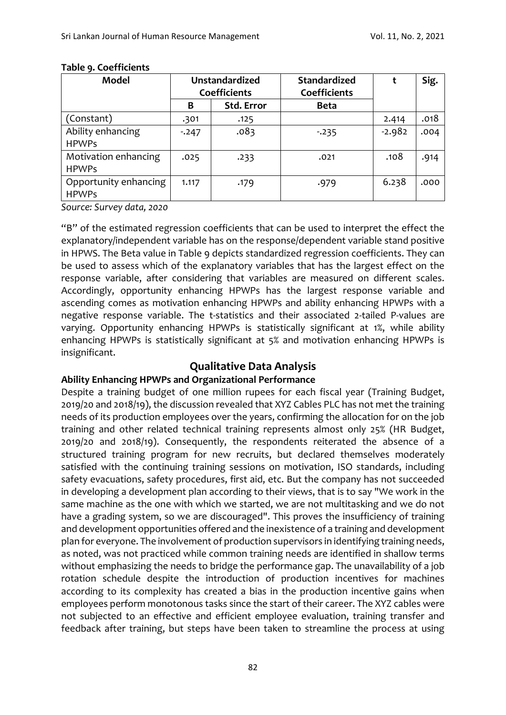| <b>Model</b>                          | <b>Unstandardized</b><br>Coefficients |                   | <b>Standardized</b><br><b>Coefficients</b> |          | Sig. |
|---------------------------------------|---------------------------------------|-------------------|--------------------------------------------|----------|------|
|                                       | В                                     | <b>Std. Error</b> | <b>Beta</b>                                |          |      |
| (Constant)                            | .301                                  | .125              |                                            | 2.414    | .018 |
| Ability enhancing<br><b>HPWPs</b>     | $-247$                                | .083              | $-235$                                     | $-2.982$ | .004 |
| Motivation enhancing<br><b>HPWPs</b>  | .025                                  | .233              | .021                                       | .108     | .914 |
| Opportunity enhancing<br><b>HPWPs</b> | 1.117                                 | .179              | .979                                       | 6.238    | .000 |

#### **Table 9. Coefficients**

*Source: Survey data, 2020*

"B" of the estimated regression coefficients that can be used to interpret the effect the explanatory/independent variable has on the response/dependent variable stand positive in HPWS. The Beta value in Table 9 depicts standardized regression coefficients. They can be used to assess which of the explanatory variables that has the largest effect on the response variable, after considering that variables are measured on different scales. Accordingly, opportunity enhancing HPWPs has the largest response variable and ascending comes as motivation enhancing HPWPs and ability enhancing HPWPs with a negative response variable. The t-statistics and their associated 2-tailed P-values are varying. Opportunity enhancing HPWPs is statistically significant at 1%, while ability enhancing HPWPs is statistically significant at 5% and motivation enhancing HPWPs is insignificant.

### **Qualitative Data Analysis**

### **Ability Enhancing HPWPs and Organizational Performance**

Despite a training budget of one million rupees for each fiscal year (Training Budget, 2019/20 and 2018/19), the discussion revealed that XYZ Cables PLC has not met the training needs of its production employees over the years, confirming the allocation for on the job training and other related technical training represents almost only 25% (HR Budget, 2019/20 and 2018/19). Consequently, the respondents reiterated the absence of a structured training program for new recruits, but declared themselves moderately satisfied with the continuing training sessions on motivation, ISO standards, including safety evacuations, safety procedures, first aid, etc. But the company has not succeeded in developing a development plan according to their views, that is to say "We work in the same machine as the one with which we started, we are not multitasking and we do not have a grading system, so we are discouraged". This proves the insufficiency of training and development opportunities offered and the inexistence of a training and development plan for everyone. The involvement of production supervisors in identifying training needs, as noted, was not practiced while common training needs are identified in shallow terms without emphasizing the needs to bridge the performance gap. The unavailability of a job rotation schedule despite the introduction of production incentives for machines according to its complexity has created a bias in the production incentive gains when employees perform monotonous tasks since the start of their career. The XYZ cables were not subjected to an effective and efficient employee evaluation, training transfer and feedback after training, but steps have been taken to streamline the process at using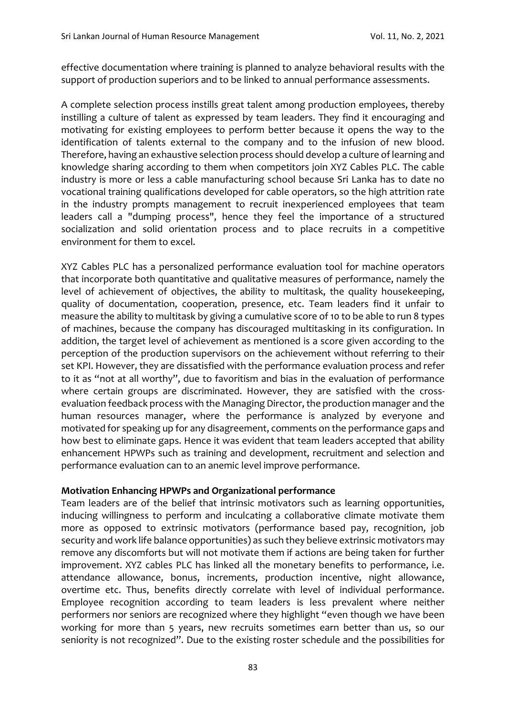effective documentation where training is planned to analyze behavioral results with the support of production superiors and to be linked to annual performance assessments.

A complete selection process instills great talent among production employees, thereby instilling a culture of talent as expressed by team leaders. They find it encouraging and motivating for existing employees to perform better because it opens the way to the identification of talents external to the company and to the infusion of new blood. Therefore, having an exhaustive selection process should develop a culture of learning and knowledge sharing according to them when competitors join XYZ Cables PLC. The cable industry is more or less a cable manufacturing school because Sri Lanka has to date no vocational training qualifications developed for cable operators, so the high attrition rate in the industry prompts management to recruit inexperienced employees that team leaders call a "dumping process", hence they feel the importance of a structured socialization and solid orientation process and to place recruits in a competitive environment for them to excel.

XYZ Cables PLC has a personalized performance evaluation tool for machine operators that incorporate both quantitative and qualitative measures of performance, namely the level of achievement of objectives, the ability to multitask, the quality housekeeping, quality of documentation, cooperation, presence, etc. Team leaders find it unfair to measure the ability to multitask by giving a cumulative score of 10 to be able to run 8 types of machines, because the company has discouraged multitasking in its configuration. In addition, the target level of achievement as mentioned is a score given according to the perception of the production supervisors on the achievement without referring to their set KPI. However, they are dissatisfied with the performance evaluation process and refer to it as "not at all worthy", due to favoritism and bias in the evaluation of performance where certain groups are discriminated. However, they are satisfied with the crossevaluation feedback process with the Managing Director, the production manager and the human resources manager, where the performance is analyzed by everyone and motivated for speaking up for any disagreement, comments on the performance gaps and how best to eliminate gaps. Hence it was evident that team leaders accepted that ability enhancement HPWPs such as training and development, recruitment and selection and performance evaluation can to an anemic level improve performance.

### **Motivation Enhancing HPWPs and Organizational performance**

Team leaders are of the belief that intrinsic motivators such as learning opportunities, inducing willingness to perform and inculcating a collaborative climate motivate them more as opposed to extrinsic motivators (performance based pay, recognition, job security and work life balance opportunities) as such they believe extrinsic motivators may remove any discomforts but will not motivate them if actions are being taken for further improvement. XYZ cables PLC has linked all the monetary benefits to performance, i.e. attendance allowance, bonus, increments, production incentive, night allowance, overtime etc. Thus, benefits directly correlate with level of individual performance. Employee recognition according to team leaders is less prevalent where neither performers nor seniors are recognized where they highlight "even though we have been working for more than 5 years, new recruits sometimes earn better than us, so our seniority is not recognized". Due to the existing roster schedule and the possibilities for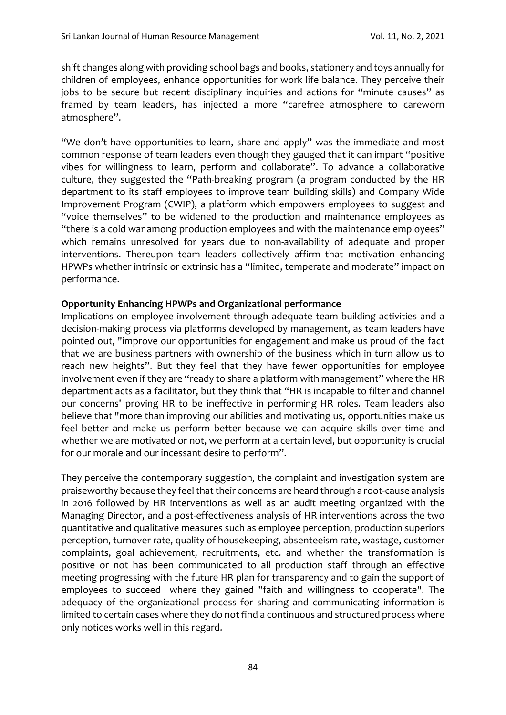shift changes along with providing school bags and books, stationery and toys annually for children of employees, enhance opportunities for work life balance. They perceive their jobs to be secure but recent disciplinary inquiries and actions for "minute causes" as framed by team leaders, has injected a more "carefree atmosphere to careworn atmosphere".

"We don't have opportunities to learn, share and apply" was the immediate and most common response of team leaders even though they gauged that it can impart "positive vibes for willingness to learn, perform and collaborate". To advance a collaborative culture, they suggested the "Path-breaking program (a program conducted by the HR department to its staff employees to improve team building skills) and Company Wide Improvement Program (CWIP), a platform which empowers employees to suggest and "voice themselves" to be widened to the production and maintenance employees as "there is a cold war among production employees and with the maintenance employees" which remains unresolved for years due to non-availability of adequate and proper interventions. Thereupon team leaders collectively affirm that motivation enhancing HPWPs whether intrinsic or extrinsic has a "limited, temperate and moderate" impact on performance.

#### **Opportunity Enhancing HPWPs and Organizational performance**

Implications on employee involvement through adequate team building activities and a decision-making process via platforms developed by management, as team leaders have pointed out, "improve our opportunities for engagement and make us proud of the fact that we are business partners with ownership of the business which in turn allow us to reach new heights". But they feel that they have fewer opportunities for employee involvement even if they are "ready to share a platform with management" where the HR department acts as a facilitator, but they think that "HR is incapable to filter and channel our concerns' proving HR to be ineffective in performing HR roles. Team leaders also believe that "more than improving our abilities and motivating us, opportunities make us feel better and make us perform better because we can acquire skills over time and whether we are motivated or not, we perform at a certain level, but opportunity is crucial for our morale and our incessant desire to perform".

They perceive the contemporary suggestion, the complaint and investigation system are praiseworthy because they feel that their concerns are heard through a root-cause analysis in 2016 followed by HR interventions as well as an audit meeting organized with the Managing Director, and a post-effectiveness analysis of HR interventions across the two quantitative and qualitative measures such as employee perception, production superiors perception, turnover rate, quality of housekeeping, absenteeism rate, wastage, customer complaints, goal achievement, recruitments, etc. and whether the transformation is positive or not has been communicated to all production staff through an effective meeting progressing with the future HR plan for transparency and to gain the support of employees to succeed where they gained "faith and willingness to cooperate". The adequacy of the organizational process for sharing and communicating information is limited to certain cases where they do not find a continuous and structured process where only notices works well in this regard.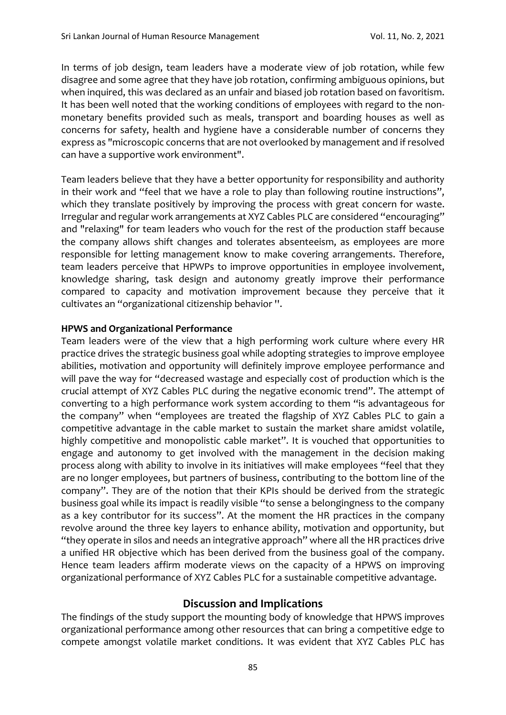In terms of job design, team leaders have a moderate view of job rotation, while few disagree and some agree that they have job rotation, confirming ambiguous opinions, but when inquired, this was declared as an unfair and biased job rotation based on favoritism. It has been well noted that the working conditions of employees with regard to the nonmonetary benefits provided such as meals, transport and boarding houses as well as concerns for safety, health and hygiene have a considerable number of concerns they express as "microscopic concerns that are not overlooked by management and if resolved can have a supportive work environment".

Team leaders believe that they have a better opportunity for responsibility and authority in their work and "feel that we have a role to play than following routine instructions", which they translate positively by improving the process with great concern for waste. Irregular and regular work arrangements at XYZ Cables PLC are considered "encouraging" and "relaxing" for team leaders who vouch for the rest of the production staff because the company allows shift changes and tolerates absenteeism, as employees are more responsible for letting management know to make covering arrangements. Therefore, team leaders perceive that HPWPs to improve opportunities in employee involvement, knowledge sharing, task design and autonomy greatly improve their performance compared to capacity and motivation improvement because they perceive that it cultivates an "organizational citizenship behavior ''.

### **HPWS and Organizational Performance**

Team leaders were of the view that a high performing work culture where every HR practice drives the strategic business goal while adopting strategies to improve employee abilities, motivation and opportunity will definitely improve employee performance and will pave the way for "decreased wastage and especially cost of production which is the crucial attempt of XYZ Cables PLC during the negative economic trend". The attempt of converting to a high performance work system according to them "is advantageous for the company" when "employees are treated the flagship of XYZ Cables PLC to gain a competitive advantage in the cable market to sustain the market share amidst volatile, highly competitive and monopolistic cable market". It is vouched that opportunities to engage and autonomy to get involved with the management in the decision making process along with ability to involve in its initiatives will make employees "feel that they are no longer employees, but partners of business, contributing to the bottom line of the company". They are of the notion that their KPIs should be derived from the strategic business goal while its impact is readily visible "to sense a belongingness to the company as a key contributor for its success". At the moment the HR practices in the company revolve around the three key layers to enhance ability, motivation and opportunity, but "they operate in silos and needs an integrative approach" where all the HR practices drive a unified HR objective which has been derived from the business goal of the company. Hence team leaders affirm moderate views on the capacity of a HPWS on improving organizational performance of XYZ Cables PLC for a sustainable competitive advantage.

### **Discussion and Implications**

The findings of the study support the mounting body of knowledge that HPWS improves organizational performance among other resources that can bring a competitive edge to compete amongst volatile market conditions. It was evident that XYZ Cables PLC has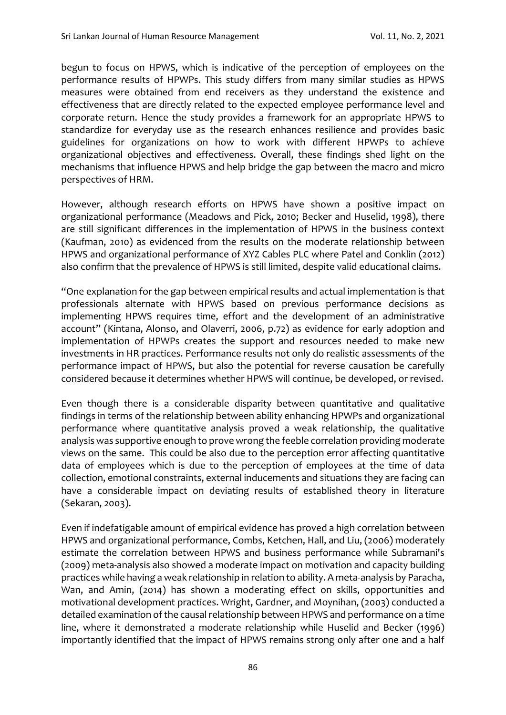begun to focus on HPWS, which is indicative of the perception of employees on the performance results of HPWPs. This study differs from many similar studies as HPWS measures were obtained from end receivers as they understand the existence and effectiveness that are directly related to the expected employee performance level and corporate return. Hence the study provides a framework for an appropriate HPWS to standardize for everyday use as the research enhances resilience and provides basic guidelines for organizations on how to work with different HPWPs to achieve organizational objectives and effectiveness. Overall, these findings shed light on the mechanisms that influence HPWS and help bridge the gap between the macro and micro perspectives of HRM.

However, although research efforts on HPWS have shown a positive impact on organizational performance (Meadows and Pick, 2010; Becker and Huselid, 1998), there are still significant differences in the implementation of HPWS in the business context (Kaufman, 2010) as evidenced from the results on the moderate relationship between HPWS and organizational performance of XYZ Cables PLC where Patel and Conklin (2012) also confirm that the prevalence of HPWS is still limited, despite valid educational claims.

"One explanation for the gap between empirical results and actual implementation is that professionals alternate with HPWS based on previous performance decisions as implementing HPWS requires time, effort and the development of an administrative account" (Kintana, Alonso, and Olaverri, 2006, p.72) as evidence for early adoption and implementation of HPWPs creates the support and resources needed to make new investments in HR practices. Performance results not only do realistic assessments of the performance impact of HPWS, but also the potential for reverse causation be carefully considered because it determines whether HPWS will continue, be developed, or revised.

Even though there is a considerable disparity between quantitative and qualitative findings in terms of the relationship between ability enhancing HPWPs and organizational performance where quantitative analysis proved a weak relationship, the qualitative analysis was supportive enough to prove wrong the feeble correlation providing moderate views on the same. This could be also due to the perception error affecting quantitative data of employees which is due to the perception of employees at the time of data collection, emotional constraints, external inducements and situations they are facing can have a considerable impact on deviating results of established theory in literature (Sekaran, 2003).

Even if indefatigable amount of empirical evidence has proved a high correlation between HPWS and organizational performance, Combs, Ketchen, Hall, and Liu, (2006) moderately estimate the correlation between HPWS and business performance while Subramani's (2009) meta-analysis also showed a moderate impact on motivation and capacity building practices while having a weak relationship in relation to ability. A meta-analysis by Paracha, Wan, and Amin, (2014) has shown a moderating effect on skills, opportunities and motivational development practices. Wright, Gardner, and Moynihan, (2003) conducted a detailed examination of the causal relationship between HPWS and performance on a time line, where it demonstrated a moderate relationship while Huselid and Becker (1996) importantly identified that the impact of HPWS remains strong only after one and a half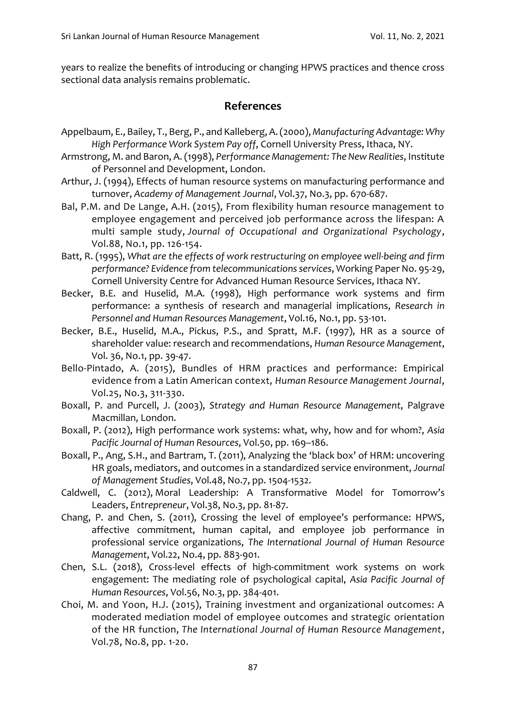years to realize the benefits of introducing or changing HPWS practices and thence cross sectional data analysis remains problematic.

# **References**

- Appelbaum, E., Bailey, T., Berg, P., and Kalleberg, A. (2000), *Manufacturing Advantage: Why High Performance Work System Pay off*, Cornell University Press, Ithaca, NY.
- Armstrong, M. and Baron, A. (1998), *Performance Management: The New Realities*, Institute of Personnel and Development, London.
- Arthur, J. (1994), Effects of human resource systems on manufacturing performance and turnover, *Academy of Management Journal*, Vol.37, No.3, pp. 670-687.
- Bal, P.M. and De Lange, A.H. (2015), From flexibility human resource management to employee engagement and perceived job performance across the lifespan: A multi sample study, *Journal of Occupational and Organizational Psychology*, Vol.88, No.1, pp. 126-154.
- Batt, R. (1995), *What are the effects of work restructuring on employee well-being and firm performance? Evidence from telecommunications services*, Working Paper No. 95-29, Cornell University Centre for Advanced Human Resource Services, Ithaca NY.
- Becker, B.E. and Huselid, M.A. (1998), High performance work systems and firm performance: a synthesis of research and managerial implications, *Research in Personnel and Human Resources Management*, Vol.16, No.1, pp. 53-101.
- Becker, B.E., Huselid, M.A., Pickus, P.S., and Spratt, M.F. (1997), HR as a source of shareholder value: research and recommendations, *Human Resource Management*, Vol. 36, No.1, pp. 39-47.
- Bello-Pintado, A. (2015), Bundles of HRM practices and performance: Empirical evidence from a Latin American context, *Human Resource Management Journal*, Vol.25, No.3, 311-330.
- Boxall, P. and Purcell, J. (2003), *Strategy and Human Resource Management*, Palgrave Macmillan, London.
- Boxall, P. (2012), High performance work systems: what, why, how and for whom?, *Asia Pacific Journal of Human Resources*, Vol.50, pp. 169–186.
- Boxall, P., Ang, S.H., and Bartram, T. (2011), Analyzing the 'black box' of HRM: uncovering HR goals, mediators, and outcomes in a standardized service environment, *Journal of Management Studies*, Vol.48, No.7, pp. 1504-1532.
- Caldwell, C. (2012), Moral Leadership: A Transformative Model for Tomorrow's Leaders, *Entrepreneur*, Vol.38, No.3, pp. 81-87.
- Chang, P. and Chen, S. (2011), Crossing the level of employee's performance: HPWS, affective commitment, human capital, and employee job performance in professional service organizations, *The International Journal of Human Resource Management*, Vol.22, No.4, pp. 883-901.
- Chen, S.L. (2018), Cross-level effects of high-commitment work systems on work engagement: The mediating role of psychological capital, *Asia Pacific Journal of Human Resources*, Vol.56, No.3, pp. 384-401.
- Choi, M. and Yoon, H.J. (2015), Training investment and organizational outcomes: A moderated mediation model of employee outcomes and strategic orientation of the HR function, *The International Journal of Human Resource Management*, Vol.78, No.8, pp. 1-20.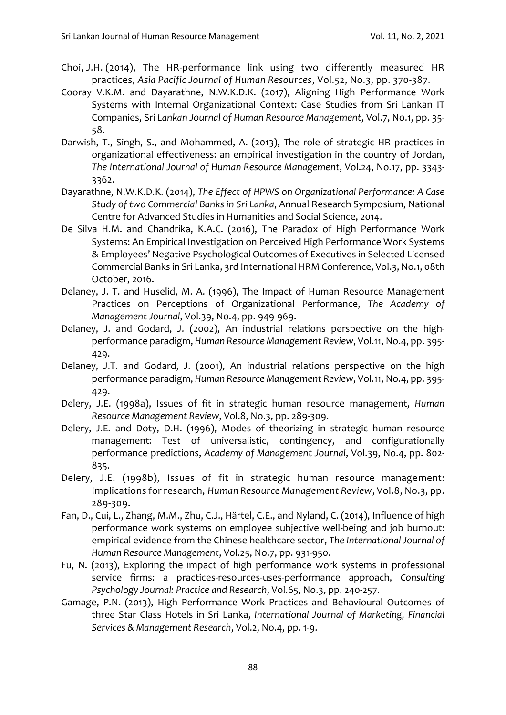- Choi, J.H. (2014), The HR-performance link using two differently measured HR practices, *Asia Pacific Journal of Human Resources*, Vol.52, No.3, pp. 370-387.
- Cooray V.K.M. and Dayarathne, N.W.K.D.K. (2017), Aligning High Performance Work Systems with Internal Organizational Context: Case Studies from Sri Lankan IT Companies, Sri *Lankan Journal of Human Resource Management*, Vol.7, No.1, pp. 35- 58.
- Darwish, T., Singh, S., and Mohammed, A. (2013), The role of strategic HR practices in organizational effectiveness: an empirical investigation in the country of Jordan, *The International Journal of Human Resource Management*, Vol.24, No.17, pp. 3343- 3362.
- Dayarathne, N.W.K.D.K. (2014), *The Effect of HPWS on Organizational Performance: A Case Study of two Commercial Banks in Sri Lanka*, Annual Research Symposium, National Centre for Advanced Studies in Humanities and Social Science, 2014.
- De Silva H.M. and Chandrika, K.A.C. (2016), The Paradox of High Performance Work Systems: An Empirical Investigation on Perceived High Performance Work Systems & Employees' Negative Psychological Outcomes of Executives in Selected Licensed Commercial Banks in Sri Lanka, 3rd International HRM Conference, Vol.3, No.1, 08th October, 2016.
- Delaney, J. T. and Huselid, M. A. (1996), The Impact of Human Resource Management Practices on Perceptions of Organizational Performance, *The Academy of Management Journal*, Vol.39, No.4, pp. 949-969.
- Delaney, J. and Godard, J. (2002), An industrial relations perspective on the highperformance paradigm, *Human Resource Management Review*, Vol.11, No.4, pp. 395- 429.
- Delaney, J.T. and Godard, J. (2001), An industrial relations perspective on the high performance paradigm, *Human Resource Management Review*, Vol.11, No.4, pp. 395- 429.
- Delery, J.E. (1998a), Issues of fit in strategic human resource management, *Human Resource Management Review*, Vol.8, No.3, pp. 289-309.
- Delery, J.E. and Doty, D.H. (1996), Modes of theorizing in strategic human resource management: Test of universalistic, contingency, and configurationally performance predictions, *Academy of Management Journal*, Vol.39, No.4, pp. 802- 835.
- Delery, J.E. (1998b), Issues of fit in strategic human resource management: Implications for research, *Human Resource Management Review*, Vol.8, No.3, pp. 289-309.
- Fan, D., Cui, L., Zhang, M.M., Zhu, C.J., Härtel, C.E., and Nyland, C. (2014), Influence of high performance work systems on employee subjective well-being and job burnout: empirical evidence from the Chinese healthcare sector, *The International Journal of Human Resource Management*, Vol.25, No.7, pp. 931-950.
- Fu, N. (2013), Exploring the impact of high performance work systems in professional service firms: a practices-resources-uses-performance approach, *Consulting Psychology Journal: Practice and Research*, Vol.65, No.3, pp. 240-257.
- Gamage, P.N. (2013), High Performance Work Practices and Behavioural Outcomes of three Star Class Hotels in Sri Lanka, *International Journal of Marketing, Financial Services & Management Research*, Vol.2, No.4, pp. 1-9.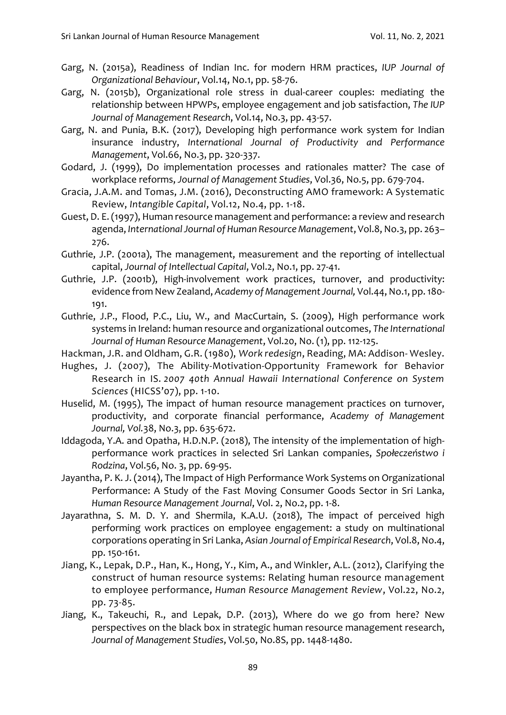- Garg, N. (2015a), Readiness of Indian Inc. for modern HRM practices, *IUP Journal of Organizational Behaviour*, Vol.14, No.1, pp. 58-76.
- Garg, N. (2015b), Organizational role stress in dual-career couples: mediating the relationship between HPWPs, employee engagement and job satisfaction, *The IUP Journal of Management Research*, Vol.14, No.3, pp. 43-57.
- Garg, N. and Punia, B.K. (2017), Developing high performance work system for Indian insurance industry, *International Journal of Productivity and Performance Management*, Vol.66, No.3, pp. 320-337.
- Godard, J. (1999), Do implementation processes and rationales matter? The case of workplace reforms, *Journal of Management Studies*, Vol.36, No.5, pp. 679-704.
- Gracia, J.A.M. and Tomas, J.M. (2016), Deconstructing AMO framework: A Systematic Review, *Intangible Capital*, Vol.12, No.4, pp. 1-18.
- Guest, D. E. (1997), Human resource management and performance: a review and research agenda, *International Journal of Human Resource Management*, Vol.8, No.3, pp. 263– 276.
- Guthrie, J.P. (2001a), The management, measurement and the reporting of intellectual capital, *Journal of Intellectual Capital*, Vol.2, No.1, pp. 27-41.
- Guthrie, J.P. (2001b), High-involvement work practices, turnover, and productivity: evidence from New Zealand, *Academy of Management Journal,* Vol.44, No.1, pp. 180- 191.
- Guthrie, J.P., Flood, P.C., Liu, W., and MacCurtain, S. (2009), High performance work systems in Ireland: human resource and organizational outcomes, *The International Journal of Human Resource Management*, Vol.20, No. (1), pp. 112-125.
- Hackman, J.R. and Oldham, G.R. (1980), *Work redesign*, Reading, MA: Addison- Wesley.
- Hughes, J. (2007), The Ability-Motivation-Opportunity Framework for Behavior Research in IS. *2007 40th Annual Hawaii International Conference on System Sciences* (HICSS'07), pp. 1-10.
- Huselid, M. (1995), The impact of human resource management practices on turnover, productivity, and corporate financial performance, *Academy of Management Journal, Vol.*38, No.3, pp. 635-672.
- Iddagoda, Y.A. and Opatha, H.D.N.P. (2018), The intensity of the implementation of highperformance work practices in selected Sri Lankan companies, *Społeczeństwo i Rodzina*, Vol.56, No. 3, pp. 69-95.
- Jayantha, P. K. J. (2014), The Impact of High Performance Work Systems on Organizational Performance: A Study of the Fast Moving Consumer Goods Sector in Sri Lanka, *Human Resource Management Journal*, Vol. 2, No.2, pp. 1-8.
- Jayarathna, S. M. D. Y. and Shermila, K.A.U. (2018), The impact of perceived high performing work practices on employee engagement: a study on multinational corporations operating in Sri Lanka, *Asian Journal of Empirical Research*, Vol.8, No.4, pp. 150-161.
- Jiang, K., Lepak, D.P., Han, K., Hong, Y., Kim, A., and Winkler, A.L. (2012), Clarifying the construct of human resource systems: Relating human resource management to employee performance, *Human Resource Management Review*, Vol.22, No.2, pp. 73-85.
- Jiang, K., Takeuchi, R., and Lepak, D.P. (2013), Where do we go from here? New perspectives on the black box in strategic human resource management research, *Journal of Management Studies*, Vol.50, No.8S, pp. 1448-1480.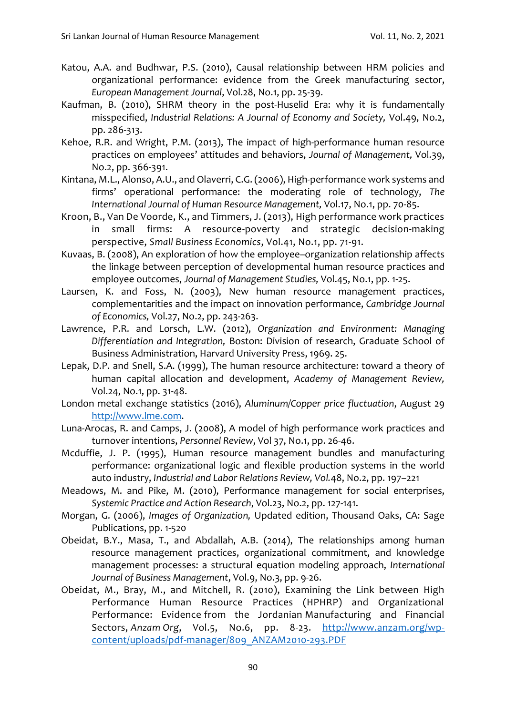- Katou, A.A. and Budhwar, P.S. (2010), Causal relationship between HRM policies and organizational performance: evidence from the Greek manufacturing sector, *European Management Journal*, Vol.28, No.1, pp. 25-39.
- Kaufman, B. (2010), SHRM theory in the post‐Huselid Era: why it is fundamentally misspecified, *Industrial Relations: A Journal of Economy and Society,* Vol.49, No.2, pp. 286-313.
- Kehoe, R.R. and Wright, P.M. (2013), The impact of high-performance human resource practices on employees' attitudes and behaviors, *Journal of Management,* Vol.39, No.2, pp. 366-391.
- Kintana, M.L., Alonso, A.U., and Olaverri, C.G. (2006), High-performance work systems and firms' operational performance: the moderating role of technology, *The International Journal of Human Resource Management,* Vol.17, No.1, pp. 70-85.
- Kroon, B., Van De Voorde, K., and Timmers, J. (2013), High performance work practices in small firms: A resource-poverty and strategic decision-making perspective, *Small Business Economics*, Vol.41, No.1, pp. 71-91.
- Kuvaas, B. (2008), An exploration of how the employee–organization relationship affects the linkage between perception of developmental human resource practices and employee outcomes, *Journal of Management Studies,* Vol.45, No.1, pp. 1-25.
- Laursen, K. and Foss, N. (2003), New human resource management practices, complementarities and the impact on innovation performance, *Cambridge Journal of Economics,* Vol.27, No.2, pp. 243-263.
- Lawrence, P.R. and Lorsch, L.W. (2012), *Organization and Environment: Managing Differentiation and Integration,* Boston: Division of research, Graduate School of Business Administration, Harvard University Press, 1969. 25.
- Lepak, D.P. and Snell, S.A. (1999), The human resource architecture: toward a theory of human capital allocation and development, *Academy of Management Review,*  Vol.24, No.1, pp. 31-48.
- London metal exchange statistics (2016), *Aluminum/Copper price fluctuation*, August 29 [http://www.lme.com.](http://www.lme.com/)
- Luna-Arocas, R. and Camps, J. (2008), A model of high performance work practices and turnover intentions, *Personnel Review*, Vol 37, No.1, pp. 26-46.
- Mcduffie, J. P. (1995), Human resource management bundles and manufacturing performance: organizational logic and flexible production systems in the world auto industry, *Industrial and Labor Relations Review, Vol.*48, No.2, pp. 197–221
- Meadows, M. and Pike, M. (2010), Performance management for social enterprises, *Systemic Practice and Action Research*, Vol.23, No.2, pp. 127-141.
- Morgan, G. (2006), *Images of Organization,* Updated edition, Thousand Oaks, CA: Sage Publications, pp. 1-520
- Obeidat, B.Y., Masa, T., and Abdallah, A.B. (2014), The relationships among human resource management practices, organizational commitment, and knowledge management processes: a structural equation modeling approach, *International Journal of Business Management*, Vol.9, No.3, pp. 9-26.
- Obeidat, M., Bray, M., and Mitchell, R. (2010), Examining the Link between High Performance Human Resource Practices (HPHRP) and Organizational Performance: Evidence from the Jordanian Manufacturing and Financial Sectors, *Anzam Org*, Vol.5, No.6, pp. 8-23. [http://www.anzam.org/wp](http://www.anzam.org/wp-content/uploads/pdf-manager/809_ANZAM2010-293.PDF)[content/uploads/pdf-manager/809\\_ANZAM2010-293.PDF](http://www.anzam.org/wp-content/uploads/pdf-manager/809_ANZAM2010-293.PDF)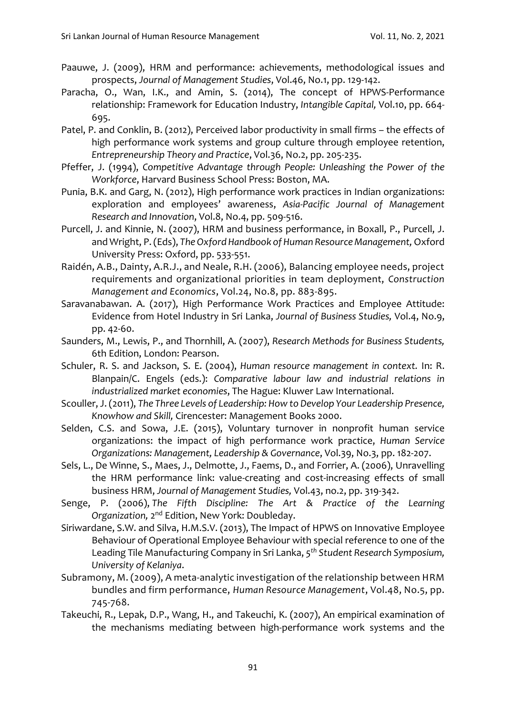- Paauwe, J. (2009), HRM and performance: achievements, methodological issues and prospects, *Journal of Management Studies*, Vol.46, No.1, pp. 129-142.
- Paracha, O., Wan, I.K., and Amin, S. (2014), The concept of HPWS-Performance relationship: Framework for Education Industry, *Intangible Capital,* Vol.10, pp. 664- 695.
- Patel, P. and Conklin, B. (2012), Perceived labor productivity in small firms the effects of high performance work systems and group culture through employee retention, *Entrepreneurship Theory and Practice*, Vol.36, No.2, pp. 205-235.
- Pfeffer, J. (1994), *Competitive Advantage through People: Unleashing the Power of the Workforce*, Harvard Business School Press: Boston, MA.
- Punia, B.K. and Garg, N. (2012), High performance work practices in Indian organizations: exploration and employees' awareness, *Asia-Pacific Journal of Management Research and Innovation*, Vol.8, No.4, pp. 509-516.
- Purcell, J. and Kinnie, N. (2007), HRM and business performance, in Boxall, P., Purcell, J. and Wright, P. (Eds), *The Oxford Handbook of Human Resource Management,*Oxford University Press: Oxford, pp. 533-551.
- Raidén, A.B., Dainty, A.R.J., and Neale, R.H. (2006), Balancing employee needs, project requirements and organizational priorities in team deployment, *Construction Management and Economics*, Vol.24, No.8, pp. 883-895.
- Saravanabawan. A. (2017), High Performance Work Practices and Employee Attitude: Evidence from Hotel Industry in Sri Lanka, *Journal of Business Studies,* Vol.4, No.9, pp. 42-60.
- Saunders, M., Lewis, P., and Thornhill, A. (2007), *Research Methods for Business Students,* 6th Edition, London: Pearson.
- Schuler, R. S. and Jackson, S. E. (2004), *Human resource management in context.* In: R. Blanpain/C. Engels (eds.): *Comparative labour law and industrial relations in industrialized market economies*, The Hague: Kluwer Law International.
- Scouller, J. (2011), *The Three Levels of Leadership: How to Develop Your Leadership Presence, Knowhow and Skill,* Cirencester: Management Books 2000.
- Selden, C.S. and Sowa, J.E. (2015), Voluntary turnover in nonprofit human service organizations: the impact of high performance work practice, *Human Service Organizations: Management, Leadership & Governance*, Vol.39, No.3, pp. 182-207.
- Sels, L., De Winne, S., Maes, J., Delmotte, J., Faems, D., and Forrier, A. (2006), Unravelling the HRM performance link: value-creating and cost-increasing effects of small business HRM, *Journal of Management Studies,* Vol.43, no.2, pp. 319-342.
- Senge, P. (2006), *The Fifth Discipline: The Art & Practice of the Learning* Organization, 2<sup>nd</sup> Edition, New York: Doubleday.
- Siriwardane, S.W. and Silva, H.M.S.V. (2013), The Impact of HPWS on Innovative Employee Behaviour of Operational Employee Behaviour with special reference to one of the Leading Tile Manufacturing Company in Sri Lanka, *5 th Student Research Symposium, University of Kelaniya*.
- Subramony, M. (2009), A meta-analytic investigation of the relationship between HRM bundles and firm performance, *Human Resource Management*, Vol.48, No.5, pp. 745-768.
- Takeuchi, R., Lepak, D.P., Wang, H., and Takeuchi, K. (2007), An empirical examination of the mechanisms mediating between high-performance work systems and the